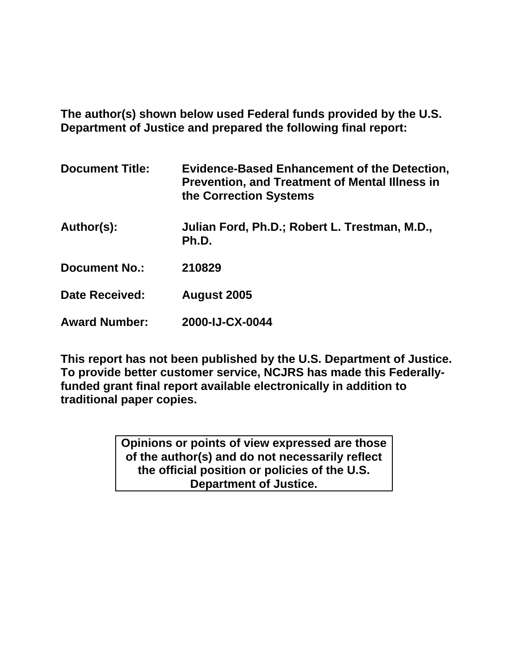**The author(s) shown below used Federal funds provided by the U.S. Department of Justice and prepared the following final report:** 

| <b>Document Title:</b> | <b>Evidence-Based Enhancement of the Detection,</b><br><b>Prevention, and Treatment of Mental Illness in</b><br>the Correction Systems |
|------------------------|----------------------------------------------------------------------------------------------------------------------------------------|
| Author(s):             | Julian Ford, Ph.D.; Robert L. Trestman, M.D.,<br>Ph.D.                                                                                 |
| <b>Document No.:</b>   | 210829                                                                                                                                 |
| <b>Date Received:</b>  | August 2005                                                                                                                            |
| <b>Award Number:</b>   | 2000-IJ-CX-0044                                                                                                                        |

**This report has not been published by the U.S. Department of Justice. To provide better customer service, NCJRS has made this Federallyfunded grant final report available electronically in addition to traditional paper copies.**

> **Opinions or points of view expressed are those of the author(s) and do not necessarily reflect the official position or policies of the U.S. Department of Justice.**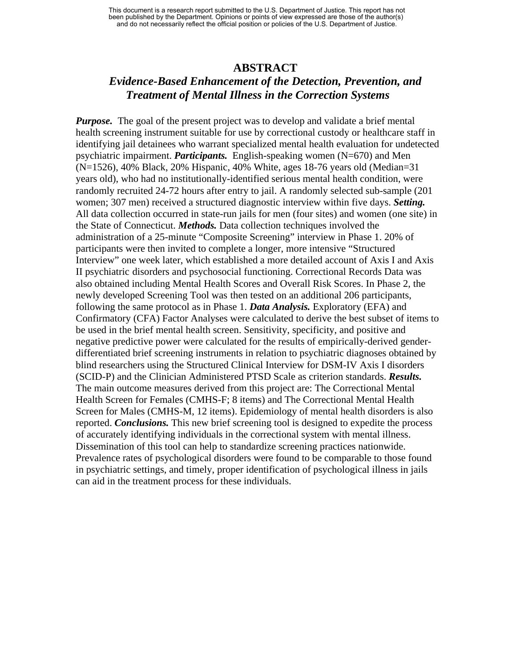#### **ABSTRACT**

## *Evidence-Based Enhancement of the Detection, Prevention, and Treatment of Mental Illness in the Correction Systems*

*Purpose.* The goal of the present project was to develop and validate a brief mental health screening instrument suitable for use by correctional custody or healthcare staff in identifying jail detainees who warrant specialized mental health evaluation for undetected psychiatric impairment. *Participants.* English-speaking women (N=670) and Men (N=1526), 40% Black, 20% Hispanic, 40% White, ages 18-76 years old (Median=31 years old), who had no institutionally-identified serious mental health condition, were randomly recruited 24-72 hours after entry to jail. A randomly selected sub-sample (201 women; 307 men) received a structured diagnostic interview within five days. *Setting.* All data collection occurred in state-run jails for men (four sites) and women (one site) in the State of Connecticut. *Methods.* Data collection techniques involved the administration of a 25-minute "Composite Screening" interview in Phase 1. 20% of participants were then invited to complete a longer, more intensive "Structured Interview" one week later, which established a more detailed account of Axis I and Axis II psychiatric disorders and psychosocial functioning. Correctional Records Data was also obtained including Mental Health Scores and Overall Risk Scores. In Phase 2, the newly developed Screening Tool was then tested on an additional 206 participants, following the same protocol as in Phase 1. *Data Analysis.* Exploratory (EFA) and Confirmatory (CFA) Factor Analyses were calculated to derive the best subset of items to be used in the brief mental health screen. Sensitivity, specificity, and positive and negative predictive power were calculated for the results of empirically-derived genderdifferentiated brief screening instruments in relation to psychiatric diagnoses obtained by blind researchers using the Structured Clinical Interview for DSM-IV Axis I disorders (SCID-P) and the Clinician Administered PTSD Scale as criterion standards. *Results.*  The main outcome measures derived from this project are: The Correctional Mental Health Screen for Females (CMHS-F; 8 items) and The Correctional Mental Health Screen for Males (CMHS-M, 12 items). Epidemiology of mental health disorders is also reported. *Conclusions.* This new brief screening tool is designed to expedite the process of accurately identifying individuals in the correctional system with mental illness. Dissemination of this tool can help to standardize screening practices nationwide. Prevalence rates of psychological disorders were found to be comparable to those found in psychiatric settings, and timely, proper identification of psychological illness in jails can aid in the treatment process for these individuals.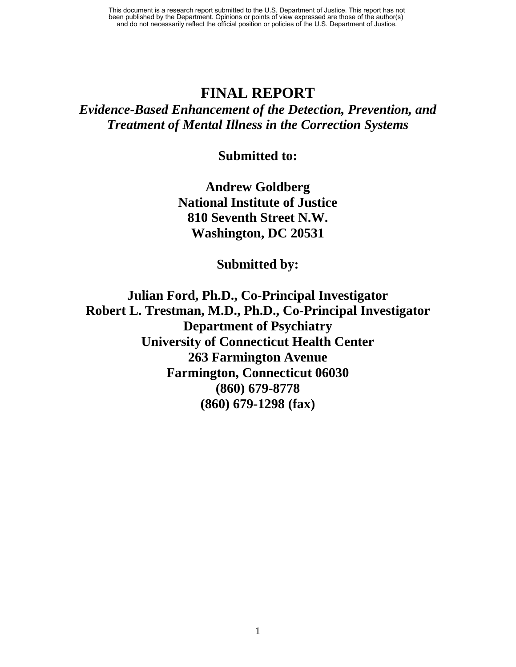## **FINAL REPORT**

*Evidence-Based Enhancement of the Detection, Prevention, and Treatment of Mental Illness in the Correction Systems* 

**Submitted to:** 

**Andrew Goldberg National Institute of Justice 810 Seventh Street N.W. Washington, DC 20531** 

**Submitted by:** 

**Julian Ford, Ph.D., Co-Principal Investigator Robert L. Trestman, M.D., Ph.D., Co-Principal Investigator Department of Psychiatry University of Connecticut Health Center 263 Farmington Avenue Farmington, Connecticut 06030 (860) 679-8778 (860) 679-1298 (fax)**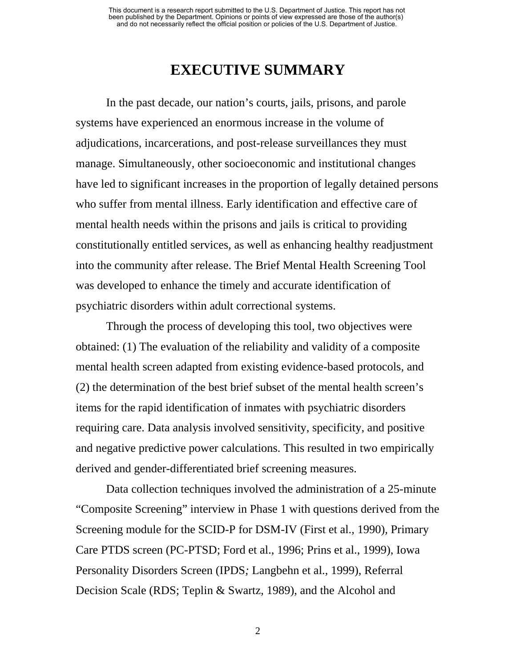# **EXECUTIVE SUMMARY**

In the past decade, our nation's courts, jails, prisons, and parole systems have experienced an enormous increase in the volume of adjudications, incarcerations, and post-release surveillances they must manage. Simultaneously, other socioeconomic and institutional changes have led to significant increases in the proportion of legally detained persons who suffer from mental illness. Early identification and effective care of mental health needs within the prisons and jails is critical to providing constitutionally entitled services, as well as enhancing healthy readjustment into the community after release. The Brief Mental Health Screening Tool was developed to enhance the timely and accurate identification of psychiatric disorders within adult correctional systems.

Through the process of developing this tool, two objectives were obtained: (1) The evaluation of the reliability and validity of a composite mental health screen adapted from existing evidence-based protocols, and (2) the determination of the best brief subset of the mental health screen's items for the rapid identification of inmates with psychiatric disorders requiring care. Data analysis involved sensitivity, specificity, and positive and negative predictive power calculations. This resulted in two empirically derived and gender-differentiated brief screening measures.

Data collection techniques involved the administration of a 25-minute "Composite Screening" interview in Phase 1 with questions derived from the Screening module for the SCID-P for DSM-IV (First et al., 1990), Primary Care PTDS screen (PC-PTSD; Ford et al., 1996; Prins et al., 1999), Iowa Personality Disorders Screen (IPDS*;* Langbehn et al., 1999), Referral Decision Scale (RDS; Teplin & Swartz, 1989), and the Alcohol and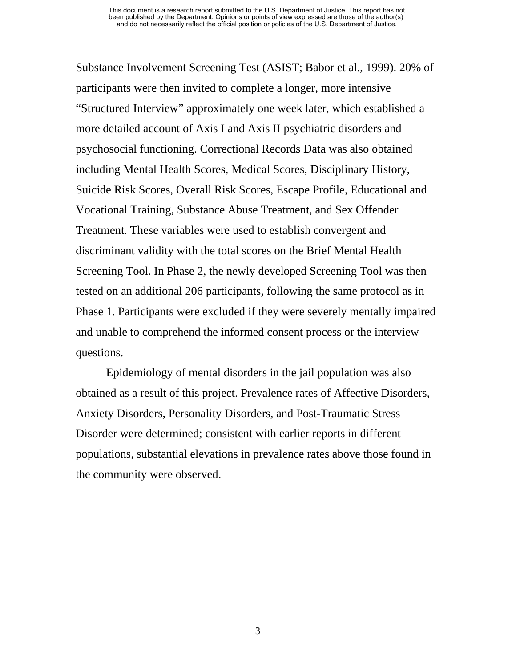Substance Involvement Screening Test (ASIST; Babor et al., 1999). 20% of participants were then invited to complete a longer, more intensive "Structured Interview" approximately one week later, which established a more detailed account of Axis I and Axis II psychiatric disorders and psychosocial functioning. Correctional Records Data was also obtained including Mental Health Scores, Medical Scores, Disciplinary History, Suicide Risk Scores, Overall Risk Scores, Escape Profile, Educational and Vocational Training, Substance Abuse Treatment, and Sex Offender Treatment. These variables were used to establish convergent and discriminant validity with the total scores on the Brief Mental Health Screening Tool. In Phase 2, the newly developed Screening Tool was then tested on an additional 206 participants, following the same protocol as in Phase 1. Participants were excluded if they were severely mentally impaired and unable to comprehend the informed consent process or the interview questions.

Epidemiology of mental disorders in the jail population was also obtained as a result of this project. Prevalence rates of Affective Disorders, Anxiety Disorders, Personality Disorders, and Post-Traumatic Stress Disorder were determined; consistent with earlier reports in different populations, substantial elevations in prevalence rates above those found in the community were observed.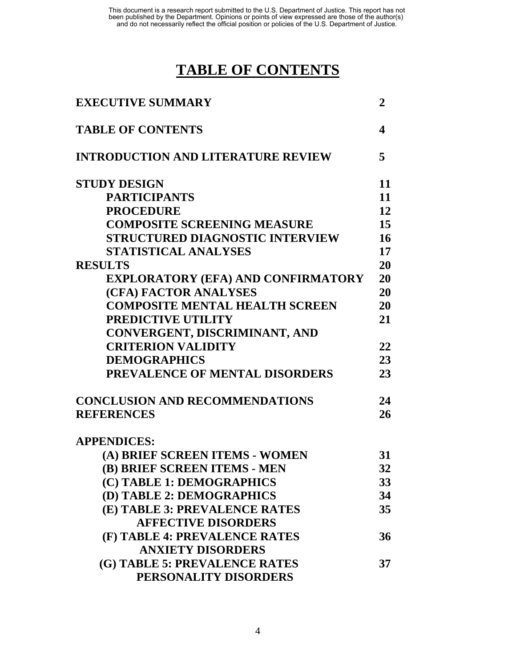# **TABLE OF CONTENTS**

| <b>EXECUTIVE SUMMARY</b>                  | $\overline{2}$ |
|-------------------------------------------|----------------|
| <b>TABLE OF CONTENTS</b>                  | 4              |
| <b>INTRODUCTION AND LITERATURE REVIEW</b> | 5              |
| <b>STUDY DESIGN</b>                       | 11             |
| <b>PARTICIPANTS</b>                       | 11             |
| <b>PROCEDURE</b>                          | 12             |
| <b>COMPOSITE SCREENING MEASURE</b>        | 15             |
| <b>STRUCTURED DIAGNOSTIC INTERVIEW</b>    | 16             |
| <b>STATISTICAL ANALYSES</b>               | 17             |
| <b>RESULTS</b>                            | 20             |
| <b>EXPLORATORY (EFA) AND CONFIRMATORY</b> | 20             |
| (CFA) FACTOR ANALYSES                     | 20             |
| <b>COMPOSITE MENTAL HEALTH SCREEN</b>     | 20             |
| PREDICTIVE UTILITY                        | 21             |
| CONVERGENT, DISCRIMINANT, AND             |                |
| <b>CRITERION VALIDITY</b>                 | 22             |
| <b>DEMOGRAPHICS</b>                       | 23             |
| PREVALENCE OF MENTAL DISORDERS            | 23             |
| <b>CONCLUSION AND RECOMMENDATIONS</b>     | 24             |
| <b>REFERENCES</b>                         | 26             |
| <b>APPENDICES:</b>                        |                |
| (A) BRIEF SCREEN ITEMS - WOMEN            | 31             |
| (B) BRIEF SCREEN ITEMS - MEN              | 32             |
| (C) TABLE 1: DEMOGRAPHICS                 | 33             |
| (D) TABLE 2: DEMOGRAPHICS                 | 34             |
| (E) TABLE 3: PREVALENCE RATES             | 35             |
| <b>AFFECTIVE DISORDERS</b>                |                |
| (F) TABLE 4: PREVALENCE RATES             | 36             |
| <b>ANXIETY DISORDERS</b>                  |                |
| (G) TABLE 5: PREVALENCE RATES             | 37             |
| PERSONALITY DISORDERS                     |                |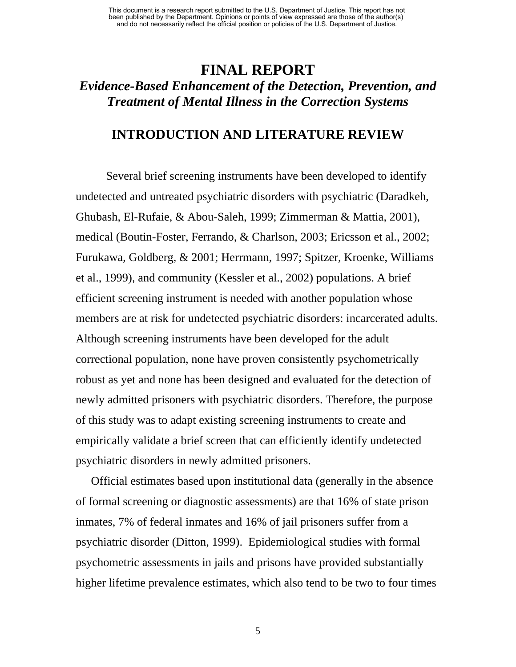## **FINAL REPORT**  *Evidence-Based Enhancement of the Detection, Prevention, and Treatment of Mental Illness in the Correction Systems*

## **INTRODUCTION AND LITERATURE REVIEW**

Several brief screening instruments have been developed to identify undetected and untreated psychiatric disorders with psychiatric (Daradkeh, Ghubash, El-Rufaie, & Abou-Saleh, 1999; Zimmerman & Mattia, 2001), medical (Boutin-Foster, Ferrando, & Charlson, 2003; Ericsson et al., 2002; Furukawa, Goldberg, & 2001; Herrmann, 1997; Spitzer, Kroenke, Williams et al., 1999), and community (Kessler et al., 2002) populations. A brief efficient screening instrument is needed with another population whose members are at risk for undetected psychiatric disorders: incarcerated adults. Although screening instruments have been developed for the adult correctional population, none have proven consistently psychometrically robust as yet and none has been designed and evaluated for the detection of newly admitted prisoners with psychiatric disorders. Therefore, the purpose of this study was to adapt existing screening instruments to create and empirically validate a brief screen that can efficiently identify undetected psychiatric disorders in newly admitted prisoners.

Official estimates based upon institutional data (generally in the absence of formal screening or diagnostic assessments) are that 16% of state prison inmates, 7% of federal inmates and 16% of jail prisoners suffer from a psychiatric disorder (Ditton, 1999). Epidemiological studies with formal psychometric assessments in jails and prisons have provided substantially higher lifetime prevalence estimates, which also tend to be two to four times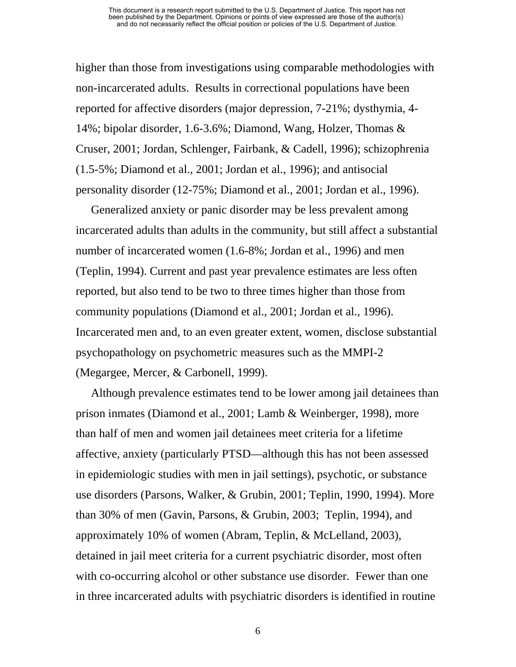higher than those from investigations using comparable methodologies with non-incarcerated adults. Results in correctional populations have been reported for affective disorders (major depression, 7-21%; dysthymia, 4- 14%; bipolar disorder, 1.6-3.6%; Diamond, Wang, Holzer, Thomas & Cruser, 2001; Jordan, Schlenger, Fairbank, & Cadell, 1996); schizophrenia (1.5-5%; Diamond et al., 2001; Jordan et al., 1996); and antisocial personality disorder (12-75%; Diamond et al., 2001; Jordan et al., 1996).

Generalized anxiety or panic disorder may be less prevalent among incarcerated adults than adults in the community, but still affect a substantial number of incarcerated women (1.6-8%; Jordan et al., 1996) and men (Teplin, 1994). Current and past year prevalence estimates are less often reported, but also tend to be two to three times higher than those from community populations (Diamond et al., 2001; Jordan et al., 1996). Incarcerated men and, to an even greater extent, women, disclose substantial psychopathology on psychometric measures such as the MMPI-2 (Megargee, Mercer, & Carbonell, 1999).

Although prevalence estimates tend to be lower among jail detainees than prison inmates (Diamond et al., 2001; Lamb & Weinberger, 1998), more than half of men and women jail detainees meet criteria for a lifetime affective, anxiety (particularly PTSD—although this has not been assessed in epidemiologic studies with men in jail settings), psychotic, or substance use disorders (Parsons, Walker, & Grubin, 2001; Teplin, 1990, 1994). More than 30% of men (Gavin, Parsons, & Grubin, 2003; Teplin, 1994), and approximately 10% of women (Abram, Teplin, & McLelland, 2003), detained in jail meet criteria for a current psychiatric disorder, most often with co-occurring alcohol or other substance use disorder. Fewer than one in three incarcerated adults with psychiatric disorders is identified in routine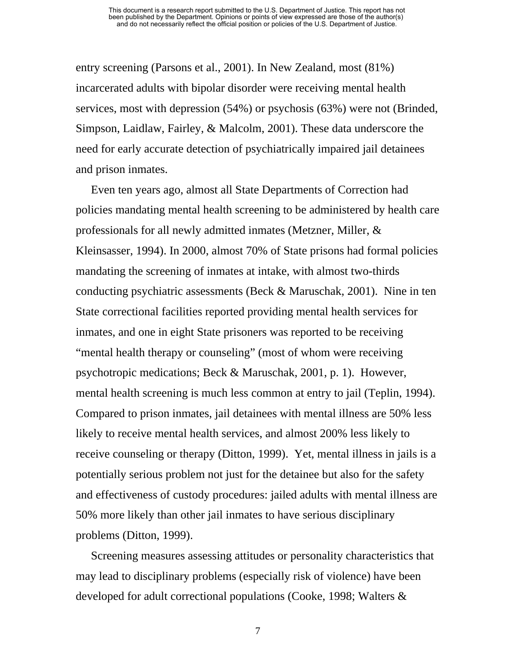entry screening (Parsons et al., 2001). In New Zealand, most (81%) incarcerated adults with bipolar disorder were receiving mental health services, most with depression (54%) or psychosis (63%) were not (Brinded, Simpson, Laidlaw, Fairley, & Malcolm, 2001). These data underscore the need for early accurate detection of psychiatrically impaired jail detainees and prison inmates.

Even ten years ago, almost all State Departments of Correction had policies mandating mental health screening to be administered by health care professionals for all newly admitted inmates (Metzner, Miller, & Kleinsasser, 1994). In 2000, almost 70% of State prisons had formal policies mandating the screening of inmates at intake, with almost two-thirds conducting psychiatric assessments (Beck & Maruschak, 2001). Nine in ten State correctional facilities reported providing mental health services for inmates, and one in eight State prisoners was reported to be receiving "mental health therapy or counseling" (most of whom were receiving psychotropic medications; Beck & Maruschak, 2001, p. 1). However, mental health screening is much less common at entry to jail (Teplin, 1994). Compared to prison inmates, jail detainees with mental illness are 50% less likely to receive mental health services, and almost 200% less likely to receive counseling or therapy (Ditton, 1999). Yet, mental illness in jails is a potentially serious problem not just for the detainee but also for the safety and effectiveness of custody procedures: jailed adults with mental illness are 50% more likely than other jail inmates to have serious disciplinary problems (Ditton, 1999).

Screening measures assessing attitudes or personality characteristics that may lead to disciplinary problems (especially risk of violence) have been developed for adult correctional populations (Cooke, 1998; Walters &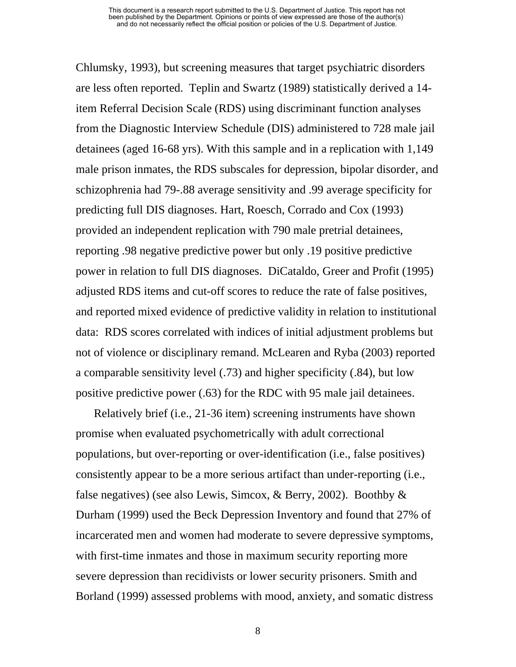Chlumsky, 1993), but screening measures that target psychiatric disorders are less often reported. Teplin and Swartz (1989) statistically derived a 14 item Referral Decision Scale (RDS) using discriminant function analyses from the Diagnostic Interview Schedule (DIS) administered to 728 male jail detainees (aged 16-68 yrs). With this sample and in a replication with 1,149 male prison inmates, the RDS subscales for depression, bipolar disorder, and schizophrenia had 79-.88 average sensitivity and .99 average specificity for predicting full DIS diagnoses. Hart, Roesch, Corrado and Cox (1993) provided an independent replication with 790 male pretrial detainees, reporting .98 negative predictive power but only .19 positive predictive power in relation to full DIS diagnoses. DiCataldo, Greer and Profit (1995) adjusted RDS items and cut-off scores to reduce the rate of false positives, and reported mixed evidence of predictive validity in relation to institutional data: RDS scores correlated with indices of initial adjustment problems but not of violence or disciplinary remand. McLearen and Ryba (2003) reported a comparable sensitivity level (.73) and higher specificity (.84), but low positive predictive power (.63) for the RDC with 95 male jail detainees.

 Relatively brief (i.e., 21-36 item) screening instruments have shown promise when evaluated psychometrically with adult correctional populations, but over-reporting or over-identification (i.e., false positives) consistently appear to be a more serious artifact than under-reporting (i.e., false negatives) (see also Lewis, Simcox, & Berry, 2002). Boothby & Durham (1999) used the Beck Depression Inventory and found that 27% of incarcerated men and women had moderate to severe depressive symptoms, with first-time inmates and those in maximum security reporting more severe depression than recidivists or lower security prisoners. Smith and Borland (1999) assessed problems with mood, anxiety, and somatic distress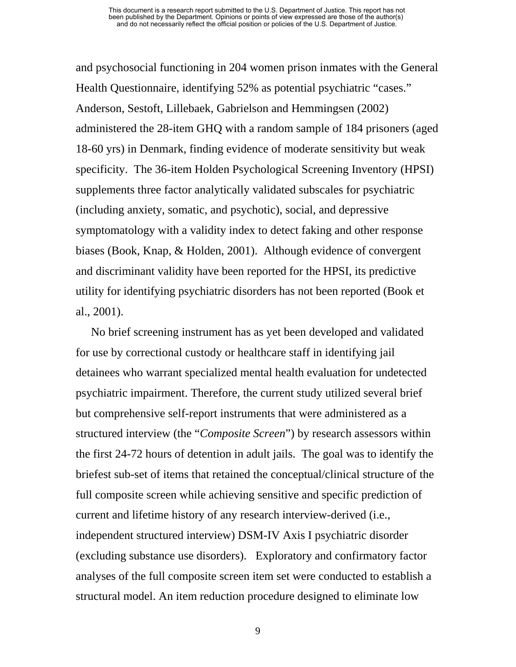and psychosocial functioning in 204 women prison inmates with the General Health Questionnaire, identifying 52% as potential psychiatric "cases." Anderson, Sestoft, Lillebaek, Gabrielson and Hemmingsen (2002) administered the 28-item GHQ with a random sample of 184 prisoners (aged 18-60 yrs) in Denmark, finding evidence of moderate sensitivity but weak specificity. The 36-item Holden Psychological Screening Inventory (HPSI) supplements three factor analytically validated subscales for psychiatric (including anxiety, somatic, and psychotic), social, and depressive symptomatology with a validity index to detect faking and other response biases (Book, Knap, & Holden, 2001). Although evidence of convergent and discriminant validity have been reported for the HPSI, its predictive utility for identifying psychiatric disorders has not been reported (Book et al., 2001).

No brief screening instrument has as yet been developed and validated for use by correctional custody or healthcare staff in identifying jail detainees who warrant specialized mental health evaluation for undetected psychiatric impairment. Therefore, the current study utilized several brief but comprehensive self-report instruments that were administered as a structured interview (the "*Composite Screen*") by research assessors within the first 24-72 hours of detention in adult jails. The goal was to identify the briefest sub-set of items that retained the conceptual/clinical structure of the full composite screen while achieving sensitive and specific prediction of current and lifetime history of any research interview-derived (i.e., independent structured interview) DSM-IV Axis I psychiatric disorder (excluding substance use disorders). Exploratory and confirmatory factor analyses of the full composite screen item set were conducted to establish a structural model. An item reduction procedure designed to eliminate low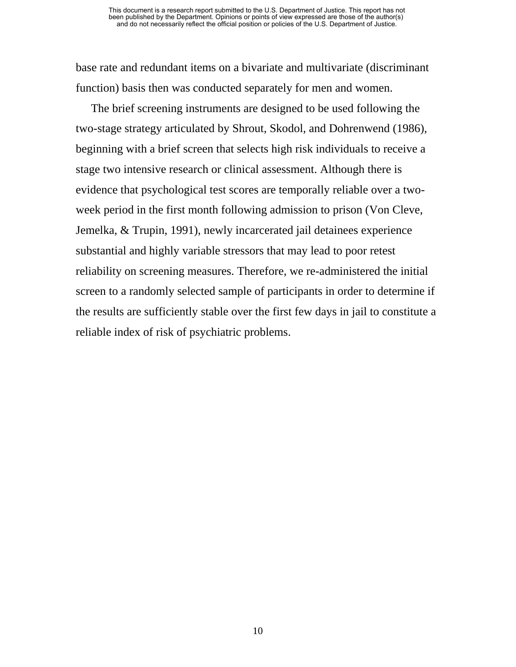base rate and redundant items on a bivariate and multivariate (discriminant function) basis then was conducted separately for men and women.

The brief screening instruments are designed to be used following the two-stage strategy articulated by Shrout, Skodol, and Dohrenwend (1986), beginning with a brief screen that selects high risk individuals to receive a stage two intensive research or clinical assessment. Although there is evidence that psychological test scores are temporally reliable over a twoweek period in the first month following admission to prison (Von Cleve, Jemelka, & Trupin, 1991), newly incarcerated jail detainees experience substantial and highly variable stressors that may lead to poor retest reliability on screening measures. Therefore, we re-administered the initial screen to a randomly selected sample of participants in order to determine if the results are sufficiently stable over the first few days in jail to constitute a reliable index of risk of psychiatric problems.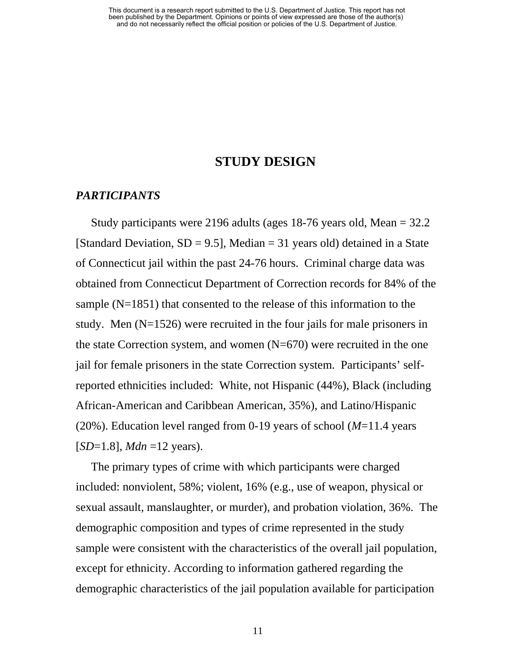#### **STUDY DESIGN**

#### *PARTICIPANTS*

Study participants were 2196 adults (ages 18-76 years old, Mean = 32.2 [Standard Deviation,  $SD = 9.5$ ], Median = 31 years old) detained in a State of Connecticut jail within the past 24-76 hours. Criminal charge data was obtained from Connecticut Department of Correction records for 84% of the sample (N=1851) that consented to the release of this information to the study. Men (N=1526) were recruited in the four jails for male prisoners in the state Correction system, and women (N=670) were recruited in the one jail for female prisoners in the state Correction system. Participants' selfreported ethnicities included: White, not Hispanic (44%), Black (including African-American and Caribbean American, 35%), and Latino/Hispanic (20%). Education level ranged from 0-19 years of school (*M*=11.4 years  $[SD=1.8]$ , *Mdn* =12 years).

The primary types of crime with which participants were charged included: nonviolent, 58%; violent, 16% (e.g., use of weapon, physical or sexual assault, manslaughter, or murder), and probation violation, 36%. The demographic composition and types of crime represented in the study sample were consistent with the characteristics of the overall jail population, except for ethnicity. According to information gathered regarding the demographic characteristics of the jail population available for participation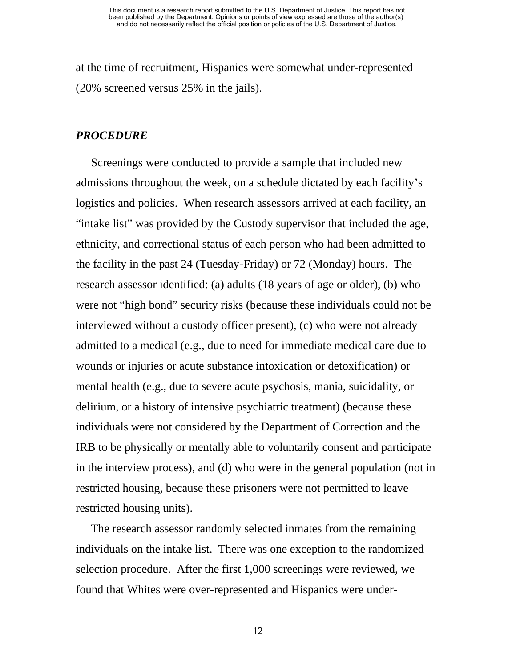at the time of recruitment, Hispanics were somewhat under-represented (20% screened versus 25% in the jails).

#### *PROCEDURE*

Screenings were conducted to provide a sample that included new admissions throughout the week, on a schedule dictated by each facility's logistics and policies. When research assessors arrived at each facility, an "intake list" was provided by the Custody supervisor that included the age, ethnicity, and correctional status of each person who had been admitted to the facility in the past 24 (Tuesday-Friday) or 72 (Monday) hours. The research assessor identified: (a) adults (18 years of age or older), (b) who were not "high bond" security risks (because these individuals could not be interviewed without a custody officer present), (c) who were not already admitted to a medical (e.g., due to need for immediate medical care due to wounds or injuries or acute substance intoxication or detoxification) or mental health (e.g., due to severe acute psychosis, mania, suicidality, or delirium, or a history of intensive psychiatric treatment) (because these individuals were not considered by the Department of Correction and the IRB to be physically or mentally able to voluntarily consent and participate in the interview process), and (d) who were in the general population (not in restricted housing, because these prisoners were not permitted to leave restricted housing units).

The research assessor randomly selected inmates from the remaining individuals on the intake list. There was one exception to the randomized selection procedure. After the first 1,000 screenings were reviewed, we found that Whites were over-represented and Hispanics were under-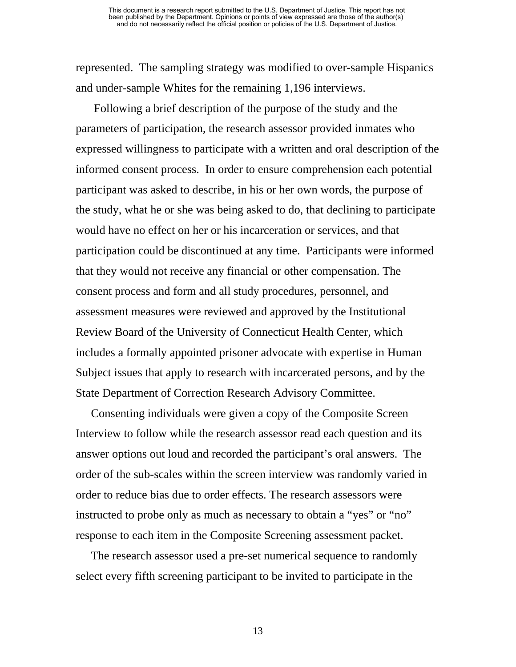represented. The sampling strategy was modified to over-sample Hispanics and under-sample Whites for the remaining 1,196 interviews.

 Following a brief description of the purpose of the study and the parameters of participation, the research assessor provided inmates who expressed willingness to participate with a written and oral description of the informed consent process. In order to ensure comprehension each potential participant was asked to describe, in his or her own words, the purpose of the study, what he or she was being asked to do, that declining to participate would have no effect on her or his incarceration or services, and that participation could be discontinued at any time. Participants were informed that they would not receive any financial or other compensation. The consent process and form and all study procedures, personnel, and assessment measures were reviewed and approved by the Institutional Review Board of the University of Connecticut Health Center, which includes a formally appointed prisoner advocate with expertise in Human Subject issues that apply to research with incarcerated persons, and by the State Department of Correction Research Advisory Committee.

Consenting individuals were given a copy of the Composite Screen Interview to follow while the research assessor read each question and its answer options out loud and recorded the participant's oral answers. The order of the sub-scales within the screen interview was randomly varied in order to reduce bias due to order effects. The research assessors were instructed to probe only as much as necessary to obtain a "yes" or "no" response to each item in the Composite Screening assessment packet.

The research assessor used a pre-set numerical sequence to randomly select every fifth screening participant to be invited to participate in the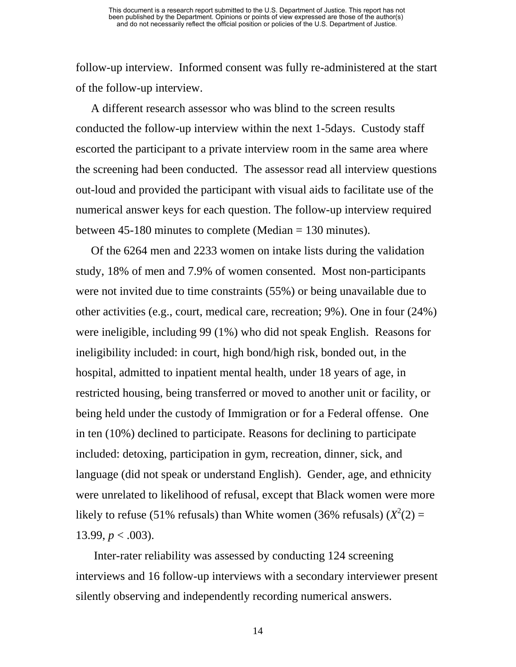follow-up interview. Informed consent was fully re-administered at the start of the follow-up interview.

A different research assessor who was blind to the screen results conducted the follow-up interview within the next 1-5days. Custody staff escorted the participant to a private interview room in the same area where the screening had been conducted. The assessor read all interview questions out-loud and provided the participant with visual aids to facilitate use of the numerical answer keys for each question. The follow-up interview required between 45-180 minutes to complete (Median = 130 minutes).

Of the 6264 men and 2233 women on intake lists during the validation study, 18% of men and 7.9% of women consented. Most non-participants were not invited due to time constraints (55%) or being unavailable due to other activities (e.g., court, medical care, recreation; 9%). One in four (24%) were ineligible, including 99 (1%) who did not speak English. Reasons for ineligibility included: in court, high bond/high risk, bonded out, in the hospital, admitted to inpatient mental health, under 18 years of age, in restricted housing, being transferred or moved to another unit or facility, or being held under the custody of Immigration or for a Federal offense. One in ten (10%) declined to participate. Reasons for declining to participate included: detoxing, participation in gym, recreation, dinner, sick, and language (did not speak or understand English). Gender, age, and ethnicity were unrelated to likelihood of refusal, except that Black women were more likely to refuse (51% refusals) than White women (36% refusals)  $(X^2(2) =$ 13.99,  $p < .003$ ).

 Inter-rater reliability was assessed by conducting 124 screening interviews and 16 follow-up interviews with a secondary interviewer present silently observing and independently recording numerical answers.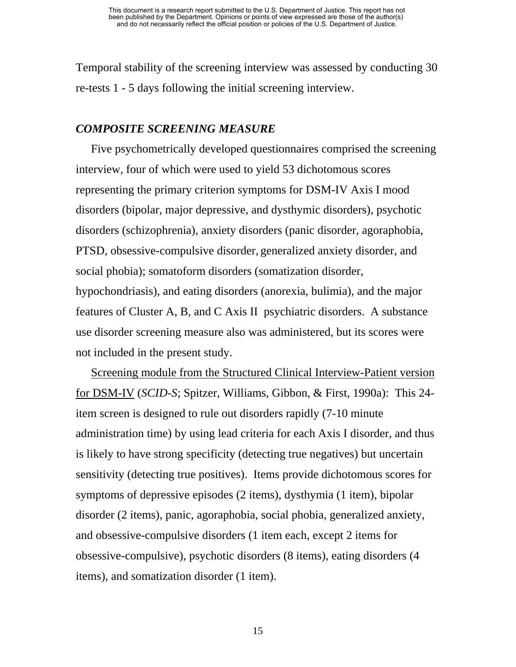Temporal stability of the screening interview was assessed by conducting 30 re-tests 1 - 5 days following the initial screening interview.

#### *COMPOSITE SCREENING MEASURE*

Five psychometrically developed questionnaires comprised the screening interview, four of which were used to yield 53 dichotomous scores representing the primary criterion symptoms for DSM-IV Axis I mood disorders (bipolar, major depressive, and dysthymic disorders), psychotic disorders (schizophrenia), anxiety disorders (panic disorder, agoraphobia, PTSD, obsessive-compulsive disorder, generalized anxiety disorder, and social phobia); somatoform disorders (somatization disorder, hypochondriasis), and eating disorders (anorexia, bulimia), and the major features of Cluster A, B, and C Axis II psychiatric disorders. A substance use disorder screening measure also was administered, but its scores were not included in the present study.

Screening module from the Structured Clinical Interview-Patient version for DSM-IV (*SCID-S*; Spitzer, Williams, Gibbon, & First, 1990a): This 24 item screen is designed to rule out disorders rapidly (7-10 minute administration time) by using lead criteria for each Axis I disorder, and thus is likely to have strong specificity (detecting true negatives) but uncertain sensitivity (detecting true positives). Items provide dichotomous scores for symptoms of depressive episodes (2 items), dysthymia (1 item), bipolar disorder (2 items), panic, agoraphobia, social phobia, generalized anxiety, and obsessive-compulsive disorders (1 item each, except 2 items for obsessive-compulsive), psychotic disorders (8 items), eating disorders (4 items), and somatization disorder (1 item).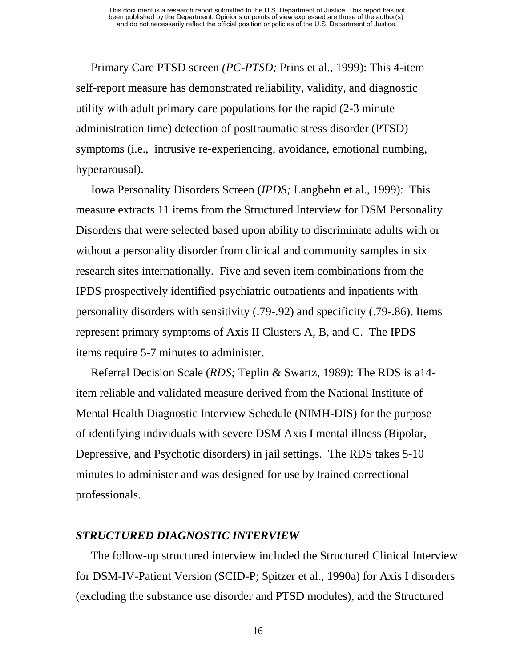Primary Care PTSD screen *(PC-PTSD;* Prins et al., 1999): This 4-item self-report measure has demonstrated reliability, validity, and diagnostic utility with adult primary care populations for the rapid (2-3 minute administration time) detection of posttraumatic stress disorder (PTSD) symptoms (i.e., intrusive re-experiencing, avoidance, emotional numbing, hyperarousal).

Iowa Personality Disorders Screen (*IPDS;* Langbehn et al., 1999): This measure extracts 11 items from the Structured Interview for DSM Personality Disorders that were selected based upon ability to discriminate adults with or without a personality disorder from clinical and community samples in six research sites internationally. Five and seven item combinations from the IPDS prospectively identified psychiatric outpatients and inpatients with personality disorders with sensitivity (.79-.92) and specificity (.79-.86). Items represent primary symptoms of Axis II Clusters A, B, and C. The IPDS items require 5-7 minutes to administer.

Referral Decision Scale (*RDS;* Teplin & Swartz, 1989): The RDS is a14 item reliable and validated measure derived from the National Institute of Mental Health Diagnostic Interview Schedule (NIMH-DIS) for the purpose of identifying individuals with severe DSM Axis I mental illness (Bipolar, Depressive, and Psychotic disorders) in jail settings. The RDS takes 5-10 minutes to administer and was designed for use by trained correctional professionals.

#### *STRUCTURED DIAGNOSTIC INTERVIEW*

The follow-up structured interview included the Structured Clinical Interview for DSM-IV-Patient Version (SCID-P; Spitzer et al., 1990a) for Axis I disorders (excluding the substance use disorder and PTSD modules), and the Structured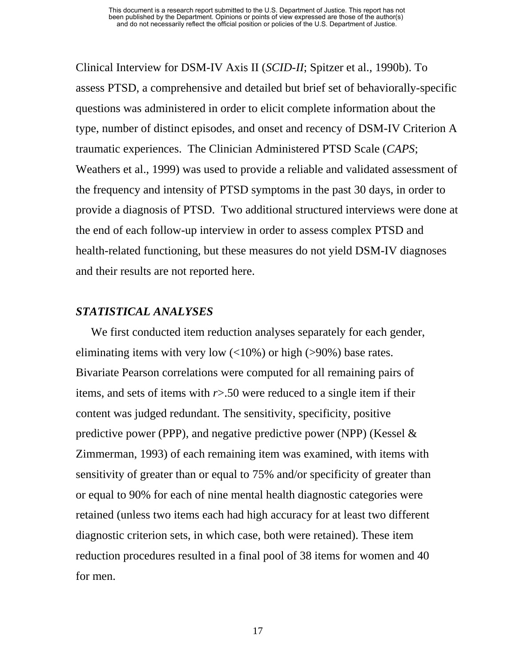Clinical Interview for DSM-IV Axis II (*SCID-II*; Spitzer et al., 1990b). To assess PTSD, a comprehensive and detailed but brief set of behaviorally-specific questions was administered in order to elicit complete information about the type, number of distinct episodes, and onset and recency of DSM-IV Criterion A traumatic experiences. The Clinician Administered PTSD Scale (*CAPS*; Weathers et al., 1999) was used to provide a reliable and validated assessment of the frequency and intensity of PTSD symptoms in the past 30 days, in order to provide a diagnosis of PTSD. Two additional structured interviews were done at the end of each follow-up interview in order to assess complex PTSD and health-related functioning, but these measures do not yield DSM-IV diagnoses and their results are not reported here.

#### *STATISTICAL ANALYSES*

We first conducted item reduction analyses separately for each gender, eliminating items with very low  $\left($  <10%) or high (>90%) base rates. Bivariate Pearson correlations were computed for all remaining pairs of items, and sets of items with *r*>.50 were reduced to a single item if their content was judged redundant. The sensitivity, specificity, positive predictive power (PPP), and negative predictive power (NPP) (Kessel  $\&$ Zimmerman, 1993) of each remaining item was examined, with items with sensitivity of greater than or equal to 75% and/or specificity of greater than or equal to 90% for each of nine mental health diagnostic categories were retained (unless two items each had high accuracy for at least two different diagnostic criterion sets, in which case, both were retained). These item reduction procedures resulted in a final pool of 38 items for women and 40 for men.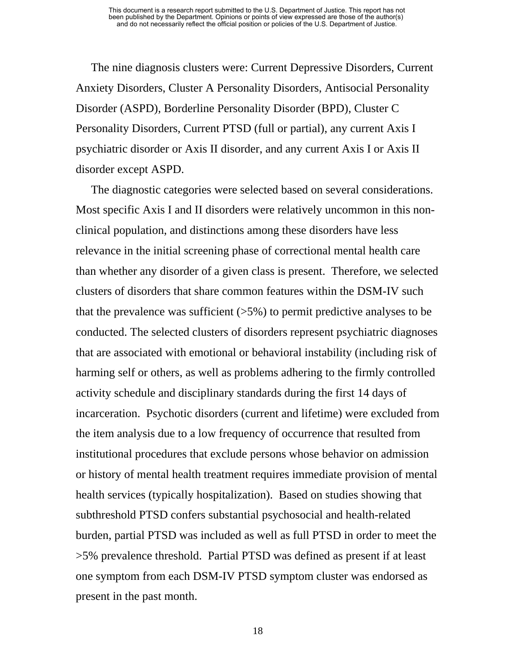The nine diagnosis clusters were: Current Depressive Disorders, Current Anxiety Disorders, Cluster A Personality Disorders, Antisocial Personality Disorder (ASPD), Borderline Personality Disorder (BPD), Cluster C Personality Disorders, Current PTSD (full or partial), any current Axis I psychiatric disorder or Axis II disorder, and any current Axis I or Axis II disorder except ASPD.

The diagnostic categories were selected based on several considerations. Most specific Axis I and II disorders were relatively uncommon in this nonclinical population, and distinctions among these disorders have less relevance in the initial screening phase of correctional mental health care than whether any disorder of a given class is present. Therefore, we selected clusters of disorders that share common features within the DSM-IV such that the prevalence was sufficient  $(55%)$  to permit predictive analyses to be conducted. The selected clusters of disorders represent psychiatric diagnoses that are associated with emotional or behavioral instability (including risk of harming self or others, as well as problems adhering to the firmly controlled activity schedule and disciplinary standards during the first 14 days of incarceration. Psychotic disorders (current and lifetime) were excluded from the item analysis due to a low frequency of occurrence that resulted from institutional procedures that exclude persons whose behavior on admission or history of mental health treatment requires immediate provision of mental health services (typically hospitalization). Based on studies showing that subthreshold PTSD confers substantial psychosocial and health-related burden, partial PTSD was included as well as full PTSD in order to meet the >5% prevalence threshold. Partial PTSD was defined as present if at least one symptom from each DSM-IV PTSD symptom cluster was endorsed as present in the past month.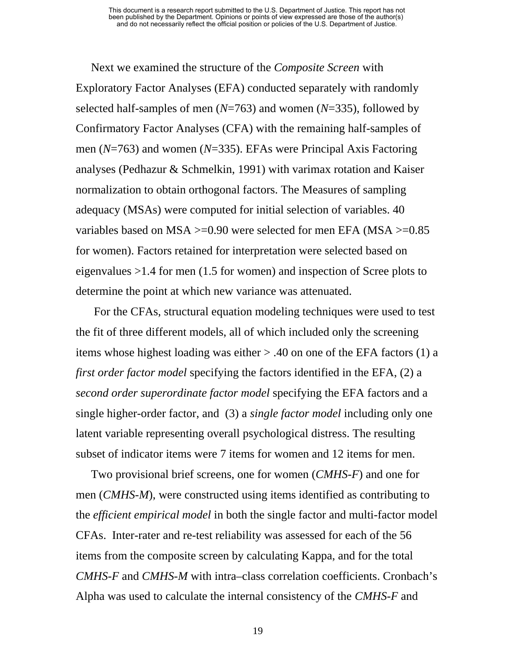Next we examined the structure of the *Composite Screen* with Exploratory Factor Analyses (EFA) conducted separately with randomly selected half-samples of men (*N*=763) and women (*N*=335), followed by Confirmatory Factor Analyses (CFA) with the remaining half-samples of men (*N*=763) and women (*N*=335). EFAs were Principal Axis Factoring analyses (Pedhazur & Schmelkin, 1991) with varimax rotation and Kaiser normalization to obtain orthogonal factors. The Measures of sampling adequacy (MSAs) were computed for initial selection of variables. 40 variables based on MSA >=0.90 were selected for men EFA (MSA >=0.85 for women). Factors retained for interpretation were selected based on eigenvalues >1.4 for men (1.5 for women) and inspection of Scree plots to determine the point at which new variance was attenuated.

 For the CFAs, structural equation modeling techniques were used to test the fit of three different models, all of which included only the screening items whose highest loading was either > .40 on one of the EFA factors (1) a *first order factor model* specifying the factors identified in the EFA, (2) a *second order superordinate factor model* specifying the EFA factors and a single higher-order factor, and (3) a *single factor model* including only one latent variable representing overall psychological distress. The resulting subset of indicator items were 7 items for women and 12 items for men.

Two provisional brief screens, one for women (*CMHS-F*) and one for men (*CMHS-M*), were constructed using items identified as contributing to the *efficient empirical model* in both the single factor and multi-factor model CFAs.Inter-rater and re-test reliability was assessed for each of the 56 items from the composite screen by calculating Kappa, and for the total *CMHS-F* and *CMHS-M* with intra–class correlation coefficients. Cronbach's Alpha was used to calculate the internal consistency of the *CMHS-F* and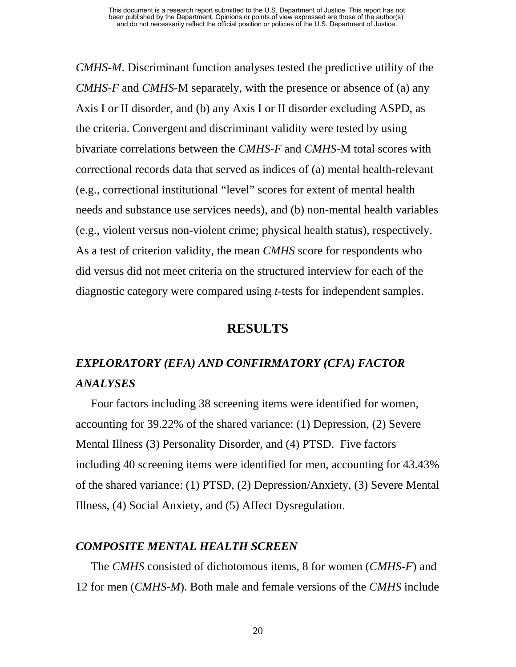*CMHS-M*. Discriminant function analyses tested the predictive utility of the *CMHS-F* and *CMHS-*M separately, with the presence or absence of (a) any Axis I or II disorder, and (b) any Axis I or II disorder excluding ASPD, as the criteria. Convergent and discriminant validity were tested by using bivariate correlations between the *CMHS-F* and *CMHS-*M total scores with correctional records data that served as indices of (a) mental health-relevant (e.g., correctional institutional "level" scores for extent of mental health needs and substance use services needs), and (b) non-mental health variables (e.g., violent versus non-violent crime; physical health status), respectively. As a test of criterion validity, the mean *CMHS* score for respondents who did versus did not meet criteria on the structured interview for each of the diagnostic category were compared using *t*-tests for independent samples.

#### **RESULTS**

# *EXPLORATORY (EFA) AND CONFIRMATORY (CFA) FACTOR ANALYSES*

Four factors including 38 screening items were identified for women, accounting for 39.22% of the shared variance: (1) Depression, (2) Severe Mental Illness (3) Personality Disorder, and (4) PTSD. Five factors including 40 screening items were identified for men, accounting for 43.43% of the shared variance: (1) PTSD, (2) Depression/Anxiety, (3) Severe Mental Illness, (4) Social Anxiety, and (5) Affect Dysregulation.

#### *COMPOSITE MENTAL HEALTH SCREEN*

The *CMHS* consisted of dichotomous items, 8 for women (*CMHS-F*) and 12 for men (*CMHS-M*). Both male and female versions of the *CMHS* include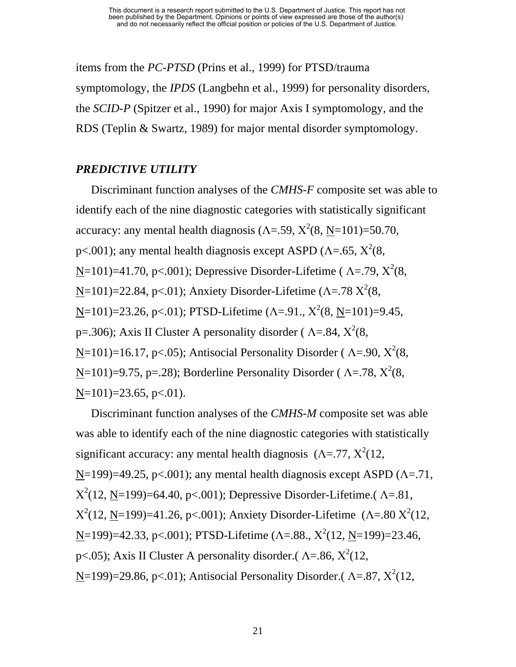items from the *PC-PTSD* (Prins et al., 1999) for PTSD/trauma symptomology, the *IPDS* (Langbehn et al., 1999) for personality disorders, the *SCID-P* (Spitzer et al., 1990) for major Axis I symptomology, and the RDS (Teplin & Swartz, 1989) for major mental disorder symptomology.

#### *PREDICTIVE UTILITY*

Discriminant function analyses of the *CMHS-F* composite set was able to identify each of the nine diagnostic categories with statistically significant accuracy: any mental health diagnosis ( $\Lambda$ =.59,  $X^2(8, \underline{N}$ =101)=50.70, p<.001); any mental health diagnosis except ASPD ( $\Lambda$ =.65,  $X^2(8)$ ,  $N=101$ =41.70, p<.001); Depressive Disorder-Lifetime ( $\Lambda$ =.79,  $X^2(8)$ , N=101)=22.84, p<.01); Anxiety Disorder-Lifetime (Λ=.78  $X^2(8)$ ,  $N=101$ =23.26, p<.01); PTSD-Lifetime ( $\Lambda$ =.91.,  $X^2(8, N=101)$ =9.45, p=.306); Axis II Cluster A personality disorder ( $\Lambda$ =.84,  $X^2(8)$ ,  $N=101$ =16.17, p<.05); Antisocial Personality Disorder ( $\Lambda$ =.90,  $X^2(8)$ ,  $N=101$ =9.75, p=.28); Borderline Personality Disorder ( $\Lambda$ =.78,  $X^2(8)$ ,  $N=101$ )=23.65, p<.01).

Discriminant function analyses of the *CMHS-M* composite set was able was able to identify each of the nine diagnostic categories with statistically significant accuracy: any mental health diagnosis  $(\Lambda = 77, X^2(12,$  $N=199$ )=49.25, p<.001); any mental health diagnosis except ASPD ( $\Lambda$ =.71,  $X^2(12, N=199)=64.40, p<.001$ ); Depressive Disorder-Lifetime.( $\Lambda$ =.81,  $X^2(12, N=199)=41.26$ , p<.001); Anxiety Disorder-Lifetime ( $\Lambda$ =.80  $X^2(12, N=199)$  $N=199$ =42.33, p<.001); PTSD-Lifetime ( $\Lambda$ =.88.,  $X^2(12, N=199)$ =23.46, p<.05); Axis II Cluster A personality disorder.( $\Lambda$ =.86,  $X^2(12, 12)$  $N=199$ =29.86, p<.01); Antisocial Personality Disorder.( $\Lambda$ =.87,  $X^2(12, 1)$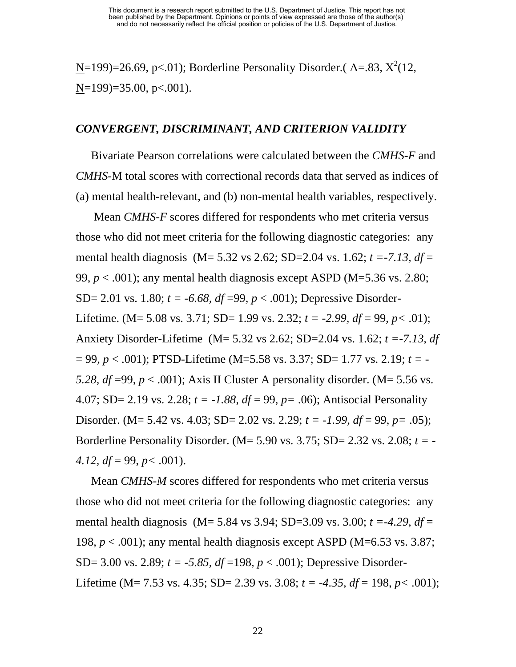$N=199$ =26.69, p<.01); Borderline Personality Disorder.( $\Lambda$ =.83,  $X^2(12, 12)$  $N=199$ =35.00, p<.001).

#### *CONVERGENT, DISCRIMINANT, AND CRITERION VALIDITY*

Bivariate Pearson correlations were calculated between the *CMHS-F* and *CMHS-*M total scores with correctional records data that served as indices of (a) mental health-relevant, and (b) non-mental health variables, respectively.

 Mean *CMHS-F* scores differed for respondents who met criteria versus those who did not meet criteria for the following diagnostic categories: any mental health diagnosis (M= 5.32 vs 2.62; SD=2.04 vs. 1.62; *t =-7.13, df* = 99,  $p < .001$ ); any mental health diagnosis except ASPD (M=5.36 vs. 2.80; SD= 2.01 vs. 1.80;  $t = -6.68$ ,  $df = 99$ ,  $p < .001$ ); Depressive Disorder-Lifetime. (M= 5.08 vs. 3.71; SD= 1.99 vs. 2.32;  $t = -2.99$ ,  $df = 99$ ,  $p < .01$ ); Anxiety Disorder-Lifetime (M= 5.32 vs 2.62; SD=2.04 vs. 1.62; *t =-7.13, df*  = 99, *p* < .001); PTSD-Lifetime (M=5.58 vs. 3.37; SD= 1.77 vs. 2.19; *t = - 5.28, df* =99,  $p < .001$ ); Axis II Cluster A personality disorder. (M= 5.56 vs. 4.07; SD= 2.19 vs. 2.28; *t = -1.88, df* = 99, *p=* .06); Antisocial Personality Disorder. (M= 5.42 vs. 4.03; SD= 2.02 vs. 2.29; *t = -1.99, df* = 99, *p=* .05); Borderline Personality Disorder. (M= 5.90 vs. 3.75; SD= 2.32 vs. 2.08; *t = - 4.12, df* = 99, *p<* .001).

Mean *CMHS-M* scores differed for respondents who met criteria versus those who did not meet criteria for the following diagnostic categories: any mental health diagnosis (M= 5.84 vs 3.94; SD=3.09 vs. 3.00; *t =-4.29, df* = 198,  $p < .001$ ); any mental health diagnosis except ASPD (M=6.53 vs. 3.87; SD= 3.00 vs. 2.89; *t = -5.85, df* =198, *p* < .001); Depressive Disorder-Lifetime (M= 7.53 vs. 4.35; SD= 2.39 vs. 3.08; *t = -4.35, df* = 198, *p<* .001);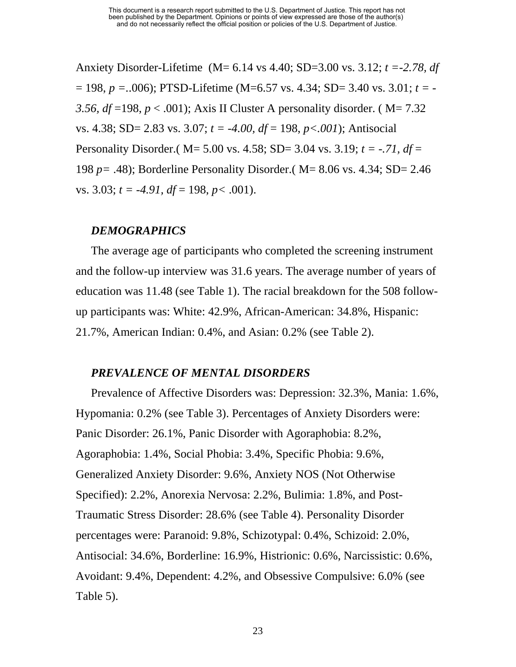Anxiety Disorder-Lifetime (M= 6.14 vs 4.40; SD=3.00 vs. 3.12; *t =-2.78, df*  = 198, *p =.*.006); PTSD-Lifetime (M=6.57 vs. 4.34; SD= 3.40 vs. 3.01; *t = -* 3.56,  $df = 198$ ,  $p < .001$ ); Axis II Cluster A personality disorder. (M= 7.32) vs. 4.38; SD= 2.83 vs. 3.07; *t = -4.00, df* = 198, *p<.001*); Antisocial Personality Disorder.( M= 5.00 vs. 4.58; SD= 3.04 vs. 3.19; *t = -.71, df* = 198 *p=* .48); Borderline Personality Disorder.( M= 8.06 vs. 4.34; SD= 2.46 vs. 3.03;  $t = -4.91$ ,  $df = 198$ ,  $p < .001$ ).

#### *DEMOGRAPHICS*

The average age of participants who completed the screening instrument and the follow-up interview was 31.6 years. The average number of years of education was 11.48 (see Table 1). The racial breakdown for the 508 followup participants was: White: 42.9%, African-American: 34.8%, Hispanic: 21.7%, American Indian: 0.4%, and Asian: 0.2% (see Table 2).

#### *PREVALENCE OF MENTAL DISORDERS*

Prevalence of Affective Disorders was: Depression: 32.3%, Mania: 1.6%, Hypomania: 0.2% (see Table 3). Percentages of Anxiety Disorders were: Panic Disorder: 26.1%, Panic Disorder with Agoraphobia: 8.2%, Agoraphobia: 1.4%, Social Phobia: 3.4%, Specific Phobia: 9.6%, Generalized Anxiety Disorder: 9.6%, Anxiety NOS (Not Otherwise Specified): 2.2%, Anorexia Nervosa: 2.2%, Bulimia: 1.8%, and Post-Traumatic Stress Disorder: 28.6% (see Table 4). Personality Disorder percentages were: Paranoid: 9.8%, Schizotypal: 0.4%, Schizoid: 2.0%, Antisocial: 34.6%, Borderline: 16.9%, Histrionic: 0.6%, Narcissistic: 0.6%, Avoidant: 9.4%, Dependent: 4.2%, and Obsessive Compulsive: 6.0% (see Table 5).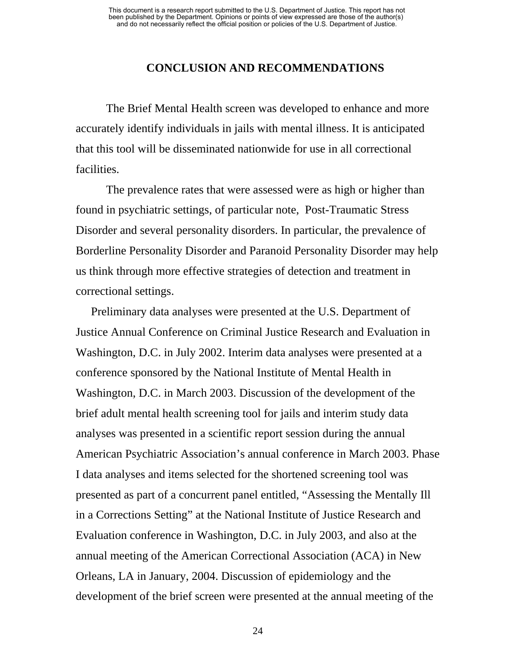#### **CONCLUSION AND RECOMMENDATIONS**

The Brief Mental Health screen was developed to enhance and more accurately identify individuals in jails with mental illness. It is anticipated that this tool will be disseminated nationwide for use in all correctional facilities.

The prevalence rates that were assessed were as high or higher than found in psychiatric settings, of particular note, Post-Traumatic Stress Disorder and several personality disorders. In particular, the prevalence of Borderline Personality Disorder and Paranoid Personality Disorder may help us think through more effective strategies of detection and treatment in correctional settings.

Preliminary data analyses were presented at the U.S. Department of Justice Annual Conference on Criminal Justice Research and Evaluation in Washington, D.C. in July 2002. Interim data analyses were presented at a conference sponsored by the National Institute of Mental Health in Washington, D.C. in March 2003. Discussion of the development of the brief adult mental health screening tool for jails and interim study data analyses was presented in a scientific report session during the annual American Psychiatric Association's annual conference in March 2003. Phase I data analyses and items selected for the shortened screening tool was presented as part of a concurrent panel entitled, "Assessing the Mentally Ill in a Corrections Setting" at the National Institute of Justice Research and Evaluation conference in Washington, D.C. in July 2003, and also at the annual meeting of the American Correctional Association (ACA) in New Orleans, LA in January, 2004. Discussion of epidemiology and the development of the brief screen were presented at the annual meeting of the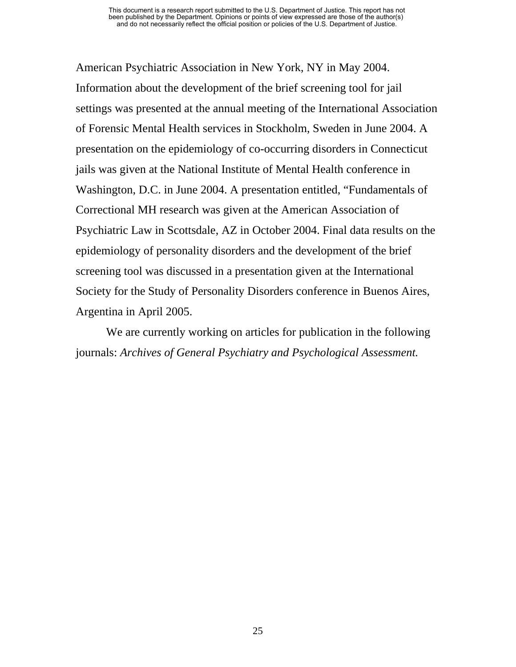American Psychiatric Association in New York, NY in May 2004. Information about the development of the brief screening tool for jail settings was presented at the annual meeting of the International Association of Forensic Mental Health services in Stockholm, Sweden in June 2004. A presentation on the epidemiology of co-occurring disorders in Connecticut jails was given at the National Institute of Mental Health conference in Washington, D.C. in June 2004. A presentation entitled, "Fundamentals of Correctional MH research was given at the American Association of Psychiatric Law in Scottsdale, AZ in October 2004. Final data results on the epidemiology of personality disorders and the development of the brief screening tool was discussed in a presentation given at the International Society for the Study of Personality Disorders conference in Buenos Aires, Argentina in April 2005.

We are currently working on articles for publication in the following journals: *Archives of General Psychiatry and Psychological Assessment.*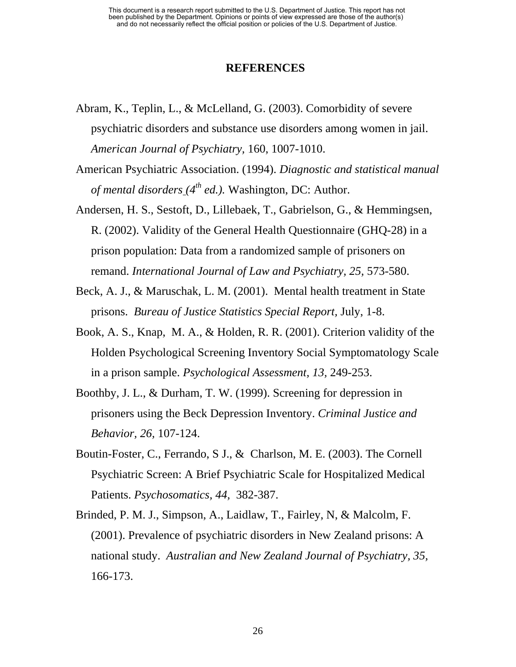#### **REFERENCES**

- Abram, K., Teplin, L., & McLelland, G. (2003). Comorbidity of severe psychiatric disorders and substance use disorders among women in jail. *American Journal of Psychiatry,* 160, 1007-1010.
- American Psychiatric Association. (1994). *Diagnostic and statistical manual of mental disorders (4th ed.).* Washington, DC: Author.
- Andersen, H. S., Sestoft, D., Lillebaek, T., Gabrielson, G., & Hemmingsen, R. (2002). Validity of the General Health Questionnaire (GHQ-28) in a prison population: Data from a randomized sample of prisoners on remand. *International Journal of Law and Psychiatry, 25, 573-580.*
- Beck, A. J., & Maruschak, L. M. (2001). Mental health treatment in State prisons. *Bureau of Justice Statistics Special Report,* July, 1-8.
- Book, A. S., Knap, M. A., & Holden, R. R. (2001). Criterion validity of the Holden Psychological Screening Inventory Social Symptomatology Scale in a prison sample. *Psychological Assessment, 13,* 249-253.
- Boothby, J. L., & Durham, T. W. (1999). Screening for depression in prisoners using the Beck Depression Inventory. *Criminal Justice and Behavior, 26,* 107-124.
- Boutin-Foster, C., Ferrando, S J., & Charlson, M. E. (2003). The Cornell Psychiatric Screen: A Brief Psychiatric Scale for Hospitalized Medical Patients. *Psychosomatics, 44,* 382-387.
- Brinded, P. M. J., Simpson, A., Laidlaw, T., Fairley, N, & Malcolm, F. (2001). Prevalence of psychiatric disorders in New Zealand prisons: A national study. *Australian and New Zealand Journal of Psychiatry, 35,*  166-173.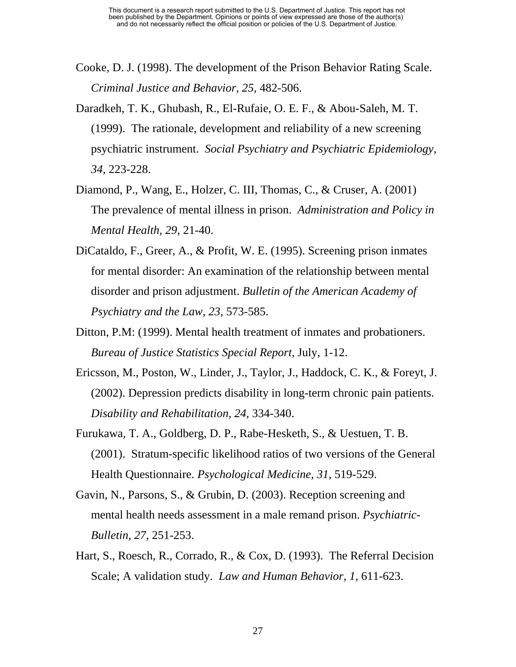- Cooke, D. J. (1998). The development of the Prison Behavior Rating Scale. *Criminal Justice and Behavior, 25,* 482-506.
- Daradkeh, T. K., Ghubash, R., El-Rufaie, O. E. F., & Abou-Saleh, M. T. (1999). The rationale, development and reliability of a new screening psychiatric instrument. *Social Psychiatry and Psychiatric Epidemiology, 34,* 223-228.
- Diamond, P., Wang, E., Holzer, C. III, Thomas, C., & Cruser, A. (2001) The prevalence of mental illness in prison. *Administration and Policy in Mental Health, 29*, 21-40.
- DiCataldo, F., Greer, A., & Profit, W. E. (1995). Screening prison inmates for mental disorder: An examination of the relationship between mental disorder and prison adjustment. *Bulletin of the American Academy of Psychiatry and the Law, 23,* 573-585.
- Ditton, P.M: (1999). Mental health treatment of inmates and probationers. *Bureau of Justice Statistics Special Report,* July, 1-12.
- Ericsson, M., Poston, W., Linder, J., Taylor, J., Haddock, C. K., & Foreyt, J. (2002). Depression predicts disability in long-term chronic pain patients. *Disability and Rehabilitation, 24,* 334-340.
- Furukawa, T. A., Goldberg, D. P., Rabe-Hesketh, S., & Uestuen, T. B. (2001). Stratum-specific likelihood ratios of two versions of the General Health Questionnaire. *Psychological Medicine, 31,* 519-529.
- Gavin, N., Parsons, S., & Grubin, D. (2003). Reception screening and mental health needs assessment in a male remand prison. *Psychiatric-Bulletin, 27*, 251-253.
- Hart, S., Roesch, R., Corrado, R., & Cox, D. (1993). The Referral Decision Scale; A validation study. *Law and Human Behavior, 1,* 611-623.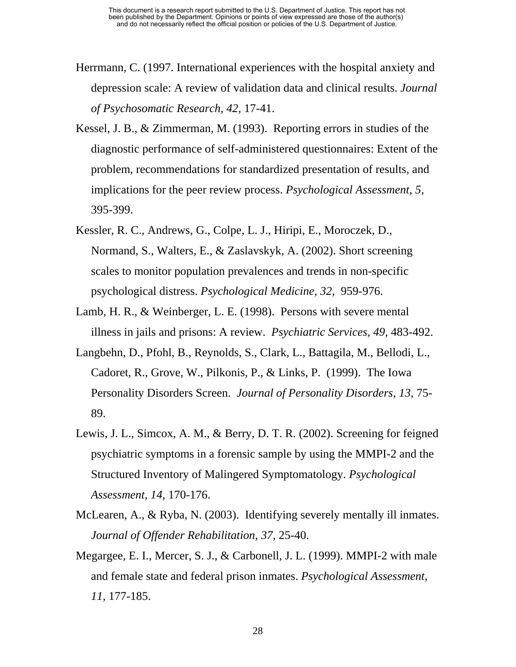- Herrmann, C. (1997. International experiences with the hospital anxiety and depression scale: A review of validation data and clinical results. *Journal of Psychosomatic Research, 42,* 17-41.
- Kessel, J. B., & Zimmerman, M. (1993). Reporting errors in studies of the diagnostic performance of self-administered questionnaires: Extent of the problem, recommendations for standardized presentation of results, and implications for the peer review process. *Psychological Assessment, 5*, 395-399.
- Kessler, R. C., Andrews, G., Colpe, L. J., Hiripi, E., Moroczek, D., Normand, S., Walters, E., & Zaslavskyk, A. (2002). Short screening scales to monitor population prevalences and trends in non-specific psychological distress. *Psychological Medicine, 32,* 959-976.
- Lamb, H. R., & Weinberger, L. E. (1998). Persons with severe mental illness in jails and prisons: A review. *Psychiatric Services, 49,* 483-492.
- Langbehn, D., Pfohl, B., Reynolds, S., Clark, L., Battagila, M., Bellodi, L., Cadoret, R., Grove, W., Pilkonis, P., & Links, P. (1999). The Iowa Personality Disorders Screen. *Journal of Personality Disorders*, *13*, 75- 89.
- Lewis, J. L., Simcox, A. M., & Berry, D. T. R. (2002). Screening for feigned psychiatric symptoms in a forensic sample by using the MMPI-2 and the Structured Inventory of Malingered Symptomatology. *Psychological Assessment, 14,* 170-176.
- McLearen, A., & Ryba, N. (2003). Identifying severely mentally ill inmates. *Journal of Offender Rehabilitation, 37,* 25-40.
- Megargee, E. I., Mercer, S. J., & Carbonell, J. L. (1999). MMPI-2 with male and female state and federal prison inmates. *Psychological Assessment, 11,* 177-185.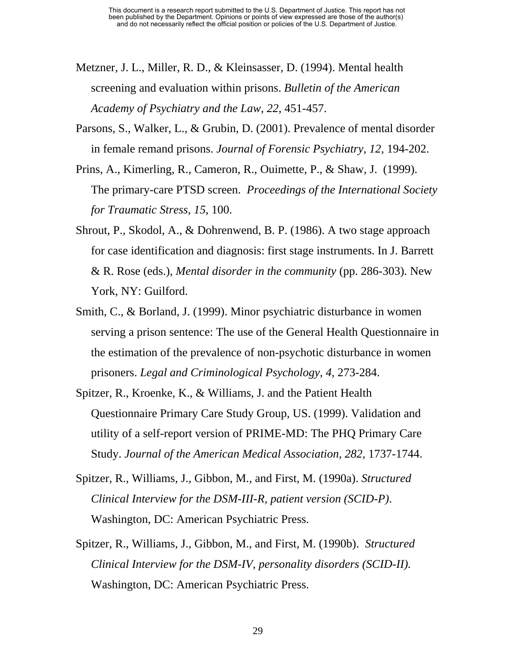- Metzner, J. L., Miller, R. D., & Kleinsasser, D. (1994). Mental health screening and evaluation within prisons. *Bulletin of the American Academy of Psychiatry and the Law, 22,* 451-457.
- Parsons, S., Walker, L., & Grubin, D. (2001). Prevalence of mental disorder in female remand prisons. *Journal of Forensic Psychiatry, 12,* 194-202.
- Prins, A., Kimerling, R., Cameron, R., Ouimette, P., & Shaw, J. (1999). The primary-care PTSD screen. *Proceedings of the International Society for Traumatic Stress, 15*, 100.
- Shrout, P., Skodol, A., & Dohrenwend, B. P. (1986). A two stage approach for case identification and diagnosis: first stage instruments. In J. Barrett & R. Rose (eds.), *Mental disorder in the community* (pp. 286-303). New York, NY: Guilford.
- Smith, C., & Borland, J. (1999). Minor psychiatric disturbance in women serving a prison sentence: The use of the General Health Questionnaire in the estimation of the prevalence of non-psychotic disturbance in women prisoners. *Legal and Criminological Psychology, 4,* 273-284.
- Spitzer, R., Kroenke, K., & Williams, J. and the Patient Health Questionnaire Primary Care Study Group, US. (1999). Validation and utility of a self-report version of PRIME-MD: The PHQ Primary Care Study. *Journal of the American Medical Association, 282,* 1737-1744.
- Spitzer, R., Williams, J., Gibbon, M., and First, M. (1990a). *Structured Clinical Interview for the DSM-III-R, patient version (SCID-P)*. Washington, DC: American Psychiatric Press.
- Spitzer, R., Williams, J., Gibbon, M., and First, M. (1990b). *Structured Clinical Interview for the DSM-IV, personality disorders (SCID-II).*  Washington, DC: American Psychiatric Press.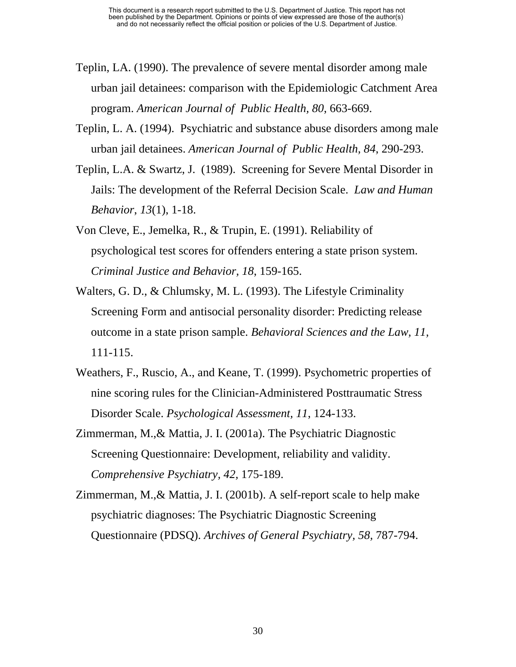- Teplin, LA. (1990). The prevalence of severe mental disorder among male urban jail detainees: comparison with the Epidemiologic Catchment Area program. *American Journal of Public Health, 80*, 663-669.
- Teplin, L. A. (1994). Psychiatric and substance abuse disorders among male urban jail detainees. *American Journal of Public Health, 84*, 290-293.
- Teplin, L.A. & Swartz, J. (1989). Screening for Severe Mental Disorder in Jails: The development of the Referral Decision Scale. *Law and Human Behavior*, *13*(1), 1-18.
- Von Cleve, E., Jemelka, R., & Trupin, E. (1991). Reliability of psychological test scores for offenders entering a state prison system. *Criminal Justice and Behavior, 18*, 159-165.
- Walters, G. D., & Chlumsky, M. L. (1993). The Lifestyle Criminality Screening Form and antisocial personality disorder: Predicting release outcome in a state prison sample. *Behavioral Sciences and the Law, 11,*  111-115.
- Weathers, F., Ruscio, A., and Keane, T. (1999). Psychometric properties of nine scoring rules for the Clinician-Administered Posttraumatic Stress Disorder Scale. *Psychological Assessment, 11*, 124-133.
- Zimmerman, M.,& Mattia, J. I. (2001a). The Psychiatric Diagnostic Screening Questionnaire: Development, reliability and validity. *Comprehensive Psychiatry, 42,* 175-189.
- Zimmerman, M.,& Mattia, J. I. (2001b). A self-report scale to help make psychiatric diagnoses: The Psychiatric Diagnostic Screening Questionnaire (PDSQ). *Archives of General Psychiatry, 58,* 787-794.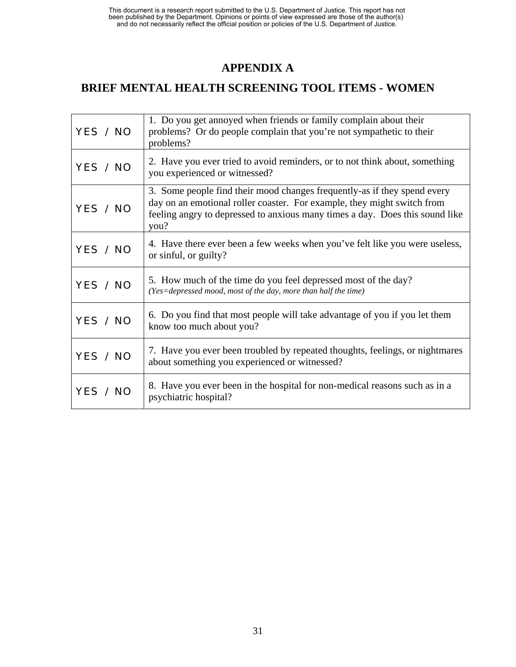## **APPENDIX A**

## **BRIEF MENTAL HEALTH SCREENING TOOL ITEMS - WOMEN**

| YES / NO | 1. Do you get annoyed when friends or family complain about their<br>problems? Or do people complain that you're not sympathetic to their<br>problems?                                                                                      |
|----------|---------------------------------------------------------------------------------------------------------------------------------------------------------------------------------------------------------------------------------------------|
| YES / NO | 2. Have you ever tried to avoid reminders, or to not think about, something<br>you experienced or witnessed?                                                                                                                                |
| YES / NO | 3. Some people find their mood changes frequently-as if they spend every<br>day on an emotional roller coaster. For example, they might switch from<br>feeling angry to depressed to anxious many times a day. Does this sound like<br>you? |
| YES / NO | 4. Have there ever been a few weeks when you've felt like you were useless,<br>or sinful, or guilty?                                                                                                                                        |
| YES / NO | 5. How much of the time do you feel depressed most of the day?<br>(Yes=depressed mood, most of the day, more than half the time)                                                                                                            |
| YES / NO | 6. Do you find that most people will take advantage of you if you let them<br>know too much about you?                                                                                                                                      |
| YES / NO | 7. Have you ever been troubled by repeated thoughts, feelings, or nightmares<br>about something you experienced or witnessed?                                                                                                               |
| YES / NO | 8. Have you ever been in the hospital for non-medical reasons such as in a<br>psychiatric hospital?                                                                                                                                         |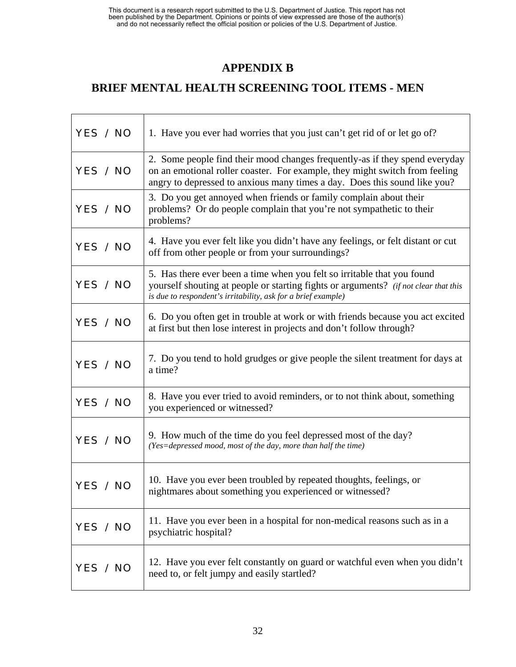## **APPENDIX B**

## **BRIEF MENTAL HEALTH SCREENING TOOL ITEMS - MEN**

| YES / NO | 1. Have you ever had worries that you just can't get rid of or let go of?                                                                                                                                                               |
|----------|-----------------------------------------------------------------------------------------------------------------------------------------------------------------------------------------------------------------------------------------|
| YES / NO | 2. Some people find their mood changes frequently-as if they spend everyday<br>on an emotional roller coaster. For example, they might switch from feeling<br>angry to depressed to anxious many times a day. Does this sound like you? |
| YES / NO | 3. Do you get annoyed when friends or family complain about their<br>problems? Or do people complain that you're not sympathetic to their<br>problems?                                                                                  |
| YES / NO | 4. Have you ever felt like you didn't have any feelings, or felt distant or cut<br>off from other people or from your surroundings?                                                                                                     |
| YES / NO | 5. Has there ever been a time when you felt so irritable that you found<br>yourself shouting at people or starting fights or arguments? (if not clear that this<br>is due to respondent's irritability, ask for a brief example)        |
| YES / NO | 6. Do you often get in trouble at work or with friends because you act excited<br>at first but then lose interest in projects and don't follow through?                                                                                 |
| YES / NO | 7. Do you tend to hold grudges or give people the silent treatment for days at<br>a time?                                                                                                                                               |
| YES / NO | 8. Have you ever tried to avoid reminders, or to not think about, something<br>you experienced or witnessed?                                                                                                                            |
| YES / NO | 9. How much of the time do you feel depressed most of the day?<br>(Yes=depressed mood, most of the day, more than half the time)                                                                                                        |
| YES / NO | 10. Have you ever been troubled by repeated thoughts, feelings, or<br>nightmares about something you experienced or witnessed?                                                                                                          |
| YES / NO | 11. Have you ever been in a hospital for non-medical reasons such as in a<br>psychiatric hospital?                                                                                                                                      |
| YES / NO | 12. Have you ever felt constantly on guard or watchful even when you didn't<br>need to, or felt jumpy and easily startled?                                                                                                              |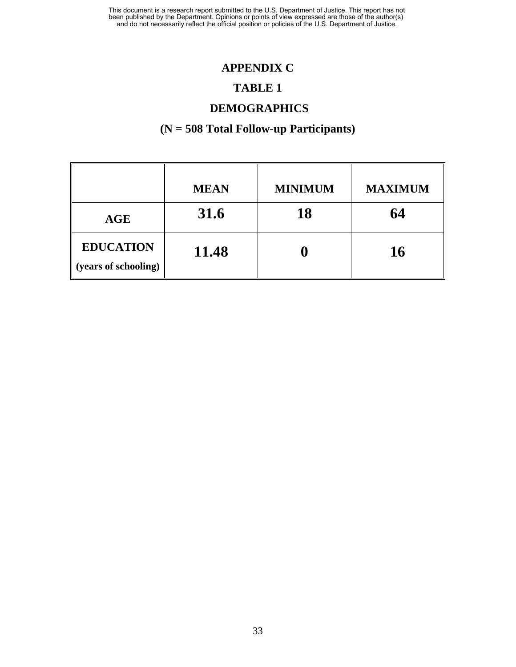## **APPENDIX C**

#### **TABLE 1**

## **DEMOGRAPHICS**

## **(N = 508 Total Follow-up Participants)**

|                                          | <b>MEAN</b> | <b>MINIMUM</b> | <b>MAXIMUM</b> |
|------------------------------------------|-------------|----------------|----------------|
| AGE                                      | 31.6        | 18             | 64             |
| <b>EDUCATION</b><br>(years of schooling) | 11.48       |                | 16             |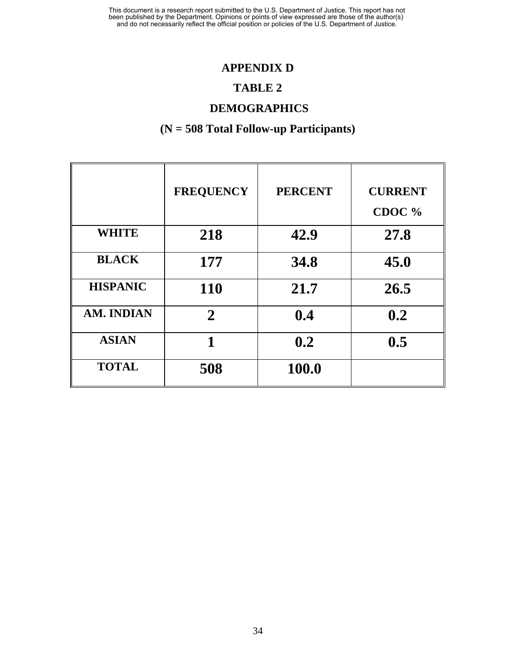### **APPENDIX D**

#### **TABLE 2**

## **DEMOGRAPHICS**

## **(N = 508 Total Follow-up Participants)**

|                 | <b>FREQUENCY</b> | <b>PERCENT</b> | <b>CURRENT</b><br>CDOC % |
|-----------------|------------------|----------------|--------------------------|
| <b>WHITE</b>    | 218              | 42.9           | 27.8                     |
| <b>BLACK</b>    | 177              | 34.8           | 45.0                     |
| <b>HISPANIC</b> | <b>110</b>       | 21.7           | 26.5                     |
| AM. INDIAN      | $\overline{2}$   | 0.4            | 0.2                      |
| <b>ASIAN</b>    | 1                | 0.2            | 0.5                      |
| <b>TOTAL</b>    | 508              | 100.0          |                          |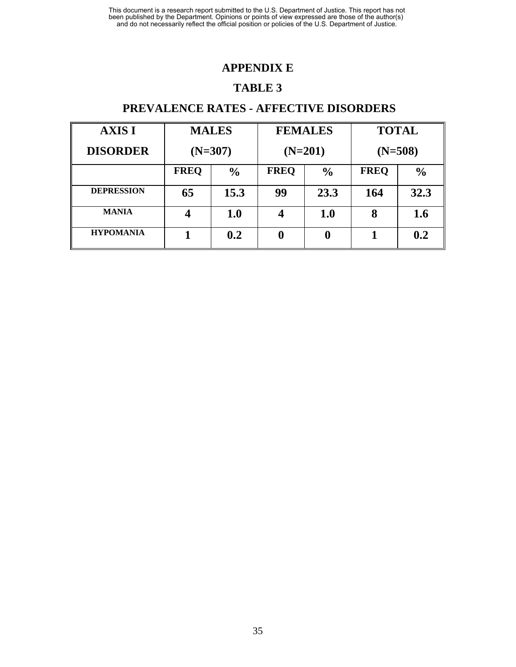## **APPENDIX E**

#### **TABLE 3**

## **PREVALENCE RATES - AFFECTIVE DISORDERS**

| <b>AXIS I</b>     | <b>MALES</b> |               |                         | <b>FEMALES</b> | <b>TOTAL</b> |               |
|-------------------|--------------|---------------|-------------------------|----------------|--------------|---------------|
| <b>DISORDER</b>   | $(N=307)$    |               | $(N=201)$               |                | $(N=508)$    |               |
|                   | <b>FREQ</b>  | $\frac{6}{6}$ | <b>FREQ</b>             | $\frac{6}{6}$  | <b>FREQ</b>  | $\frac{6}{6}$ |
| <b>DEPRESSION</b> | 65           | 15.3          | 99                      | 23.3           | 164          | 32.3          |
| <b>MANIA</b>      |              | 1.0           | $\overline{\mathbf{4}}$ | <b>1.0</b>     | 8            | 1.6           |
| <b>HYPOMANIA</b>  |              | 0.2           | $\boldsymbol{0}$        |                |              | 0.2           |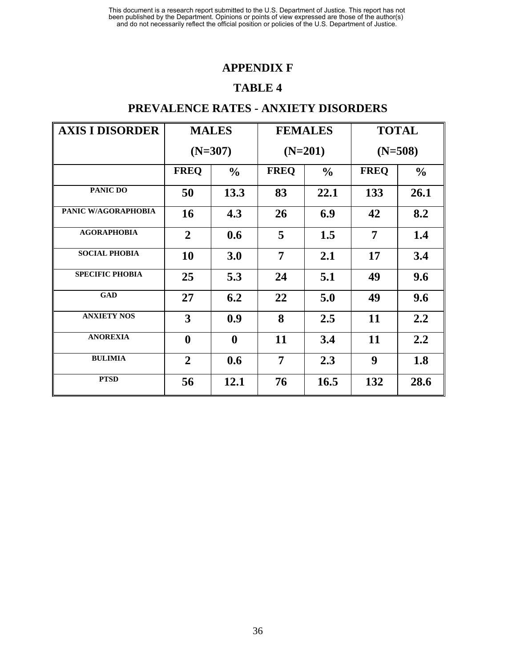## **APPENDIX F**

#### **TABLE 4**

## **PREVALENCE RATES - ANXIETY DISORDERS**

| <b>AXIS I DISORDER</b> | <b>MALES</b>     |                  |                | <b>FEMALES</b> | <b>TOTAL</b> |               |
|------------------------|------------------|------------------|----------------|----------------|--------------|---------------|
|                        |                  | $(N=307)$        |                | $(N=201)$      | $(N=508)$    |               |
|                        | <b>FREQ</b>      | $\frac{0}{0}$    | <b>FREQ</b>    | $\frac{0}{0}$  | <b>FREQ</b>  | $\frac{0}{0}$ |
| PANIC DO               | 50               | 13.3             | 83             | 22.1           | 133          | 26.1          |
| PANIC W/AGORAPHOBIA    | <b>16</b>        | 4.3              | 26             | 6.9            | 42           | 8.2           |
| <b>AGORAPHOBIA</b>     | $\overline{2}$   | 0.6              | 5              | 1.5            | 7            | 1.4           |
| <b>SOCIAL PHOBIA</b>   | 10               | 3.0              | 7              | 2.1            | 17           | 3.4           |
| <b>SPECIFIC PHOBIA</b> | 25               | 5.3              | 24             | 5.1            | 49           | 9.6           |
| <b>GAD</b>             | 27               | 6.2              | 22             | 5.0            | 49           | 9.6           |
| <b>ANXIETY NOS</b>     | 3                | 0.9              | 8              | 2.5            | 11           | 2.2           |
| <b>ANOREXIA</b>        | $\boldsymbol{0}$ | $\boldsymbol{0}$ | 11             | 3.4            | 11           | 2.2           |
| <b>BULIMIA</b>         | $\boldsymbol{2}$ | 0.6              | $\overline{7}$ | 2.3            | 9            | 1.8           |
| <b>PTSD</b>            | 56               | 12.1             | 76             | 16.5           | 132          | 28.6          |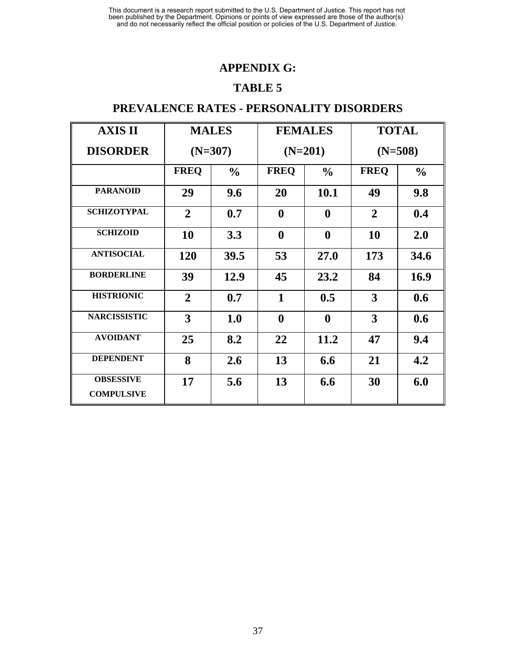## **APPENDIX G:**

#### **TABLE 5**

## **PREVALENCE RATES - PERSONALITY DISORDERS**

| <b>AXIS II</b>                        | <b>MALES</b>   |               | <b>FEMALES</b>   |                  | <b>TOTAL</b>   |               |  |
|---------------------------------------|----------------|---------------|------------------|------------------|----------------|---------------|--|
| <b>DISORDER</b>                       | $(N=307)$      |               |                  | $(N=201)$        | $(N=508)$      |               |  |
|                                       | <b>FREQ</b>    | $\frac{6}{6}$ | <b>FREQ</b>      | $\frac{0}{0}$    | <b>FREQ</b>    | $\frac{0}{0}$ |  |
| <b>PARANOID</b>                       | 29             | 9.6           | 20               | 10.1             | 49             | 9.8           |  |
| <b>SCHIZOTYPAL</b>                    | $\overline{2}$ | 0.7           | $\boldsymbol{0}$ | $\boldsymbol{0}$ | $\overline{2}$ | 0.4           |  |
| <b>SCHIZOID</b>                       | 10             | 3.3           | $\boldsymbol{0}$ | $\boldsymbol{0}$ | <b>10</b>      | 2.0           |  |
| <b>ANTISOCIAL</b>                     | <b>120</b>     | 39.5          | 53               | <b>27.0</b>      | 173            | 34.6          |  |
| <b>BORDERLINE</b>                     | 39             | 12.9          | 45               | 23.2             | 84             | <b>16.9</b>   |  |
| <b>HISTRIONIC</b>                     | $\overline{2}$ | 0.7           | $\mathbf{1}$     | 0.5              | 3              | 0.6           |  |
| <b>NARCISSISTIC</b>                   | 3              | 1.0           | $\boldsymbol{0}$ | $\boldsymbol{0}$ | 3              | 0.6           |  |
| <b>AVOIDANT</b>                       | 25             | 8.2           | 22               | 11.2             | 47             | 9.4           |  |
| <b>DEPENDENT</b>                      | 8              | 2.6           | 13               | 6.6              | 21             | 4.2           |  |
| <b>OBSESSIVE</b><br><b>COMPULSIVE</b> | 17             | 5.6           | 13               | 6.6              | 30             | 6.0           |  |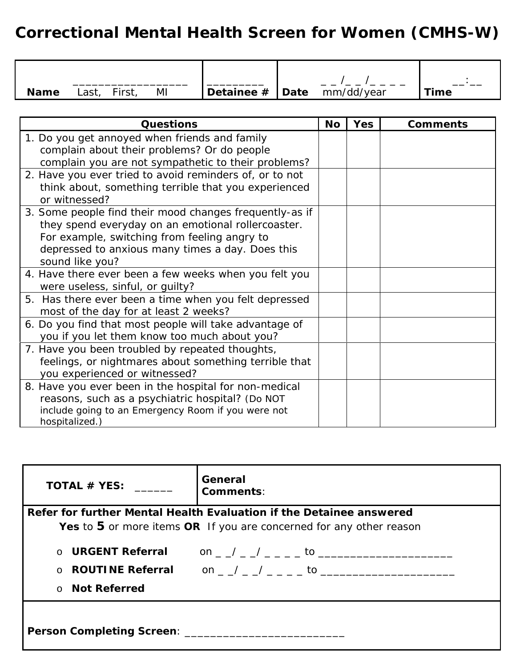# *Correctional Mental Health Screen for Women (CMHS-W)*

| <b>Name</b> | Last, | First, | ΜI | $\vert$ Detainee # $\vert$ Date mm/dd/year |  | <b>Time</b> |
|-------------|-------|--------|----|--------------------------------------------|--|-------------|

| <b>Questions</b>                                        | <b>No</b> | <b>Yes</b> | <b>Comments</b> |
|---------------------------------------------------------|-----------|------------|-----------------|
| 1. Do you get annoyed when friends and family           |           |            |                 |
| complain about their problems? Or do people             |           |            |                 |
| complain you are not sympathetic to their problems?     |           |            |                 |
| 2. Have you ever tried to avoid reminders of, or to not |           |            |                 |
| think about, something terrible that you experienced    |           |            |                 |
| or witnessed?                                           |           |            |                 |
| 3. Some people find their mood changes frequently-as if |           |            |                 |
| they spend everyday on an emotional rollercoaster.      |           |            |                 |
| For example, switching from feeling angry to            |           |            |                 |
| depressed to anxious many times a day. Does this        |           |            |                 |
| sound like you?                                         |           |            |                 |
| 4. Have there ever been a few weeks when you felt you   |           |            |                 |
| were useless, sinful, or guilty?                        |           |            |                 |
| 5. Has there ever been a time when you felt depressed   |           |            |                 |
| most of the day for at least 2 weeks?                   |           |            |                 |
| 6. Do you find that most people will take advantage of  |           |            |                 |
| you if you let them know too much about you?            |           |            |                 |
| 7. Have you been troubled by repeated thoughts,         |           |            |                 |
| feelings, or nightmares about something terrible that   |           |            |                 |
| you experienced or witnessed?                           |           |            |                 |
| 8. Have you ever been in the hospital for non-medical   |           |            |                 |
| reasons, such as a psychiatric hospital? (Do NOT        |           |            |                 |
| include going to an Emergency Room if you were not      |           |            |                 |
| hospitalized.)                                          |           |            |                 |

| TOTAL # YES:                    | General<br>Comments:                                                                                                                                   |
|---------------------------------|--------------------------------------------------------------------------------------------------------------------------------------------------------|
|                                 | Refer for further Mental Health Evaluation if the Detainee answered                                                                                    |
|                                 | Yes to 5 or more items $OR$ If you are concerned for any other reason                                                                                  |
| ○ Not Referred                  | ○ URGENT Referral on / / to to to to to the second to the second to the second to the second to the second to t<br>o <b>ROUTINE Referral</b> on / / to |
| Person Completing Screen: _____ |                                                                                                                                                        |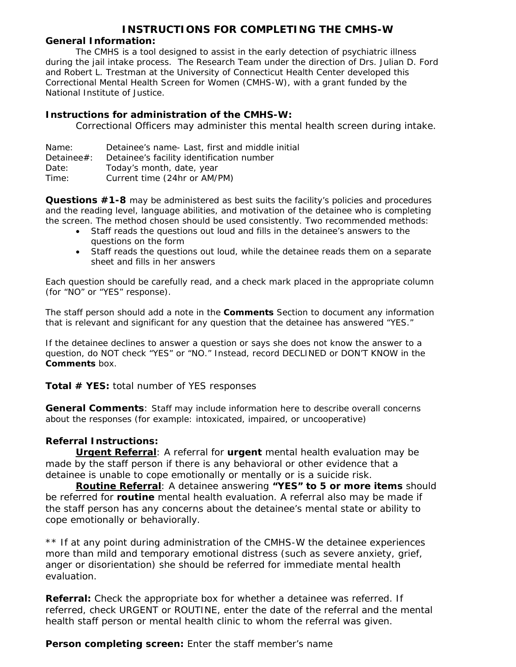#### *INSTRUCTIONS FOR COMPLETING THE CMHS-W*

#### **General Information:**

The CMHS is a tool designed to assist in the early detection of psychiatric illness during the jail intake process. The Research Team under the direction of Drs. Julian D. Ford and Robert L. Trestman at the University of Connecticut Health Center developed this Correctional Mental Health Screen for Women (CMHS-W), with a grant funded by the National Institute of Justice.

#### **Instructions for administration of the CMHS-W:**

Correctional Officers may administer this mental health screen during intake.

| Name: | Detainee's name- Last, first and middle initial |  |  |  |
|-------|-------------------------------------------------|--|--|--|
|-------|-------------------------------------------------|--|--|--|

- Detainee#: Detainee's facility identification number
- Date: Today's month, date, year
- Time: Current time (24hr or AM/PM)

**Questions #1-8** may be administered as best suits the facility's policies and procedures and the reading level, language abilities, and motivation of the detainee who is completing the screen. The method chosen should be used consistently. Two recommended methods:

- Staff reads the questions out loud and fills in the detainee's answers to the questions on the form
- Staff reads the questions out loud, while the detainee reads them on a separate sheet and fills in her answers

Each question should be carefully read, and a check mark placed in the appropriate column (for "NO" or "YES" response).

The staff person should add a note in the **Comments** Section to document any information that is relevant and significant for any question that the detainee has answered "YES."

If the detainee declines to answer a question or says she does not know the answer to a question, do NOT check "YES" or "NO." Instead, record DECLINED or DON'T KNOW in the **Comments** box.

#### **Total # YES:** total number of YES responses

**General Comments**: Staff may include information here to describe overall concerns about the responses (for example: intoxicated, impaired, or uncooperative)

#### **Referral Instructions:**

**Urgent Referral**: A referral for **urgent** mental health evaluation may be made by the staff person if there is any behavioral or other evidence that a detainee is unable to cope emotionally or mentally or is a suicide risk.

**Routine Referral**: A detainee answering **"YES" to 5 or more items** should be referred for **routine** mental health evaluation. A referral also may be made if the staff person has any concerns about the detainee's mental state or ability to cope emotionally or behaviorally.

\*\* If at any point during administration of the CMHS-W the detainee experiences *more than mild and temporary emotional distress* (such as severe anxiety, grief, anger or disorientation) she should be referred for immediate mental health evaluation.

**Referral:** Check the appropriate box for whether a detainee was referred. If referred, check URGENT or ROUTINE, enter the date of the referral and the mental health staff person or mental health clinic to whom the referral was given.

#### **Person completing screen:** Enter the staff member's name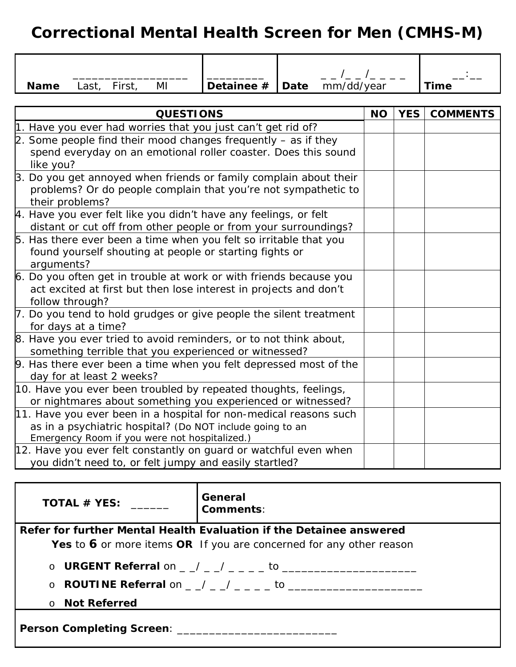# *Correctional Mental Health Screen for Men (CMHS-M)*

| ΜI<br><b>Name</b><br>Last,<br>First,                                                                                                                                            | Detainee $#$ | Date | mm/dd/year |  |            | <b>Time</b>     |
|---------------------------------------------------------------------------------------------------------------------------------------------------------------------------------|--------------|------|------------|--|------------|-----------------|
|                                                                                                                                                                                 |              |      |            |  |            |                 |
| <b>QUESTIONS</b>                                                                                                                                                                |              |      |            |  | <b>YES</b> | <b>COMMENTS</b> |
| 1. Have you ever had worries that you just can't get rid of?                                                                                                                    |              |      |            |  |            |                 |
| 2. Some people find their mood changes frequently $-$ as if they<br>spend everyday on an emotional roller coaster. Does this sound<br>like you?                                 |              |      |            |  |            |                 |
| 3. Do you get annoyed when friends or family complain about their<br>problems? Or do people complain that you're not sympathetic to<br>their problems?                          |              |      |            |  |            |                 |
| 4. Have you ever felt like you didn't have any feelings, or felt<br>distant or cut off from other people or from your surroundings?                                             |              |      |            |  |            |                 |
| 5. Has there ever been a time when you felt so irritable that you<br>found yourself shouting at people or starting fights or<br>arguments?                                      |              |      |            |  |            |                 |
| 6. Do you often get in trouble at work or with friends because you<br>act excited at first but then lose interest in projects and don't<br>follow through?                      |              |      |            |  |            |                 |
| 7. Do you tend to hold grudges or give people the silent treatment<br>for days at a time?                                                                                       |              |      |            |  |            |                 |
| 8. Have you ever tried to avoid reminders, or to not think about,<br>something terrible that you experienced or witnessed?                                                      |              |      |            |  |            |                 |
| 9. Has there ever been a time when you felt depressed most of the<br>day for at least 2 weeks?                                                                                  |              |      |            |  |            |                 |
| 10. Have you ever been troubled by repeated thoughts, feelings,<br>or nightmares about something you experienced or witnessed?                                                  |              |      |            |  |            |                 |
| 11. Have you ever been in a hospital for non-medical reasons such<br>as in a psychiatric hospital? (Do NOT include going to an<br>Emergency Room if you were not hospitalized.) |              |      |            |  |            |                 |
| 12. Have you ever felt constantly on guard or watchful even when<br>you didn't need to, or felt jumpy and easily startled?                                                      |              |      |            |  |            |                 |

| TOTAL # YES:                                                          | General<br><b>Comments:</b> |  |  |  |
|-----------------------------------------------------------------------|-----------------------------|--|--|--|
| Refer for further Mental Health Evaluation if the Detainee answered   |                             |  |  |  |
| Yes to 6 or more items $OR$ If you are concerned for any other reason |                             |  |  |  |
|                                                                       |                             |  |  |  |
|                                                                       |                             |  |  |  |
| ○ Not Referred                                                        |                             |  |  |  |
| Person Completing Screen: ______                                      |                             |  |  |  |